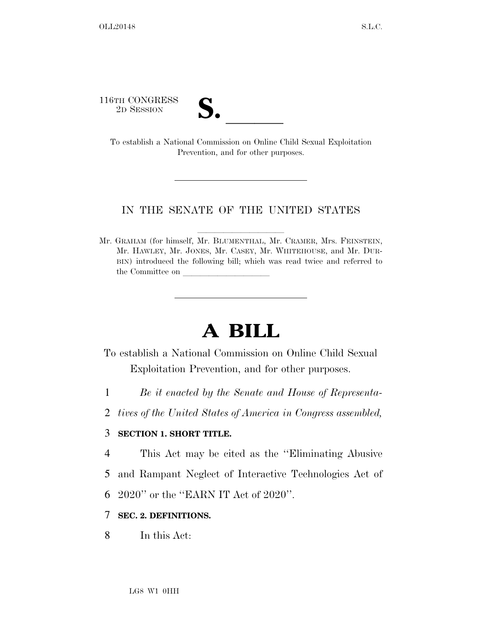116TH CONGRESS

TO SESSION **S. S. S. B. B. B. B. B. B. B. A. S. A. S. A. S. A. S. A. S. A. S. A. S. A. S. A. S. A. S. A. S. A. S. A. S. A. S. A. S. A. S. A. S. A. S. A. S. A. S. A. S. A. S. A. S. A. S. A. S. A. S. A. S. A. S. A. S. A. S.** Prevention, and for other purposes.

#### IN THE SENATE OF THE UNITED STATES

Mr. GRAHAM (for himself, Mr. BLUMENTHAL, Mr. CRAMER, Mrs. FEINSTEIN, Mr. HAWLEY, Mr. JONES, Mr. CASEY, Mr. WHITEHOUSE, and Mr. DUR-BIN) introduced the following bill; which was read twice and referred to the Committee on

# **A BILL**

- To establish a National Commission on Online Child Sexual Exploitation Prevention, and for other purposes.
- 1 *Be it enacted by the Senate and House of Representa-*
- 2 *tives of the United States of America in Congress assembled,*

## 3 **SECTION 1. SHORT TITLE.**

- 4 This Act may be cited as the ''Eliminating Abusive
- 5 and Rampant Neglect of Interactive Technologies Act of
- 6 2020'' or the ''EARN IT Act of 2020''.

#### 7 **SEC. 2. DEFINITIONS.**

8 In this Act: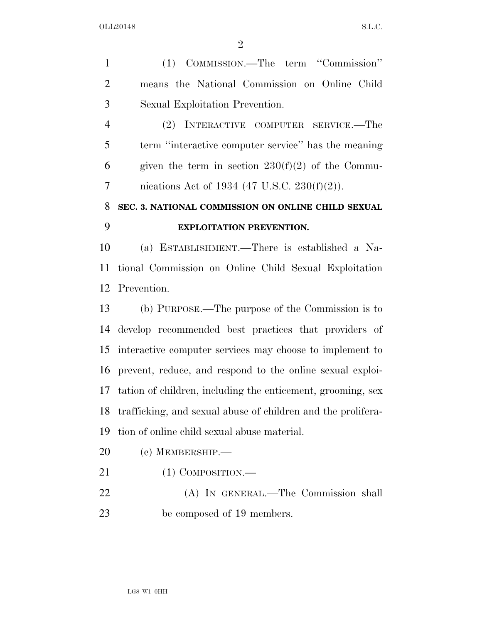(1) COMMISSION.—The term ''Commission'' means the National Commission on Online Child Sexual Exploitation Prevention. (2) INTERACTIVE COMPUTER SERVICE.—The term ''interactive computer service'' has the meaning 6 given the term in section  $230(f)(2)$  of the Commu- nications Act of 1934 (47 U.S.C. 230(f)(2)). **SEC. 3. NATIONAL COMMISSION ON ONLINE CHILD SEXUAL EXPLOITATION PREVENTION.**  (a) ESTABLISHMENT.—There is established a Na- tional Commission on Online Child Sexual Exploitation Prevention. (b) PURPOSE.—The purpose of the Commission is to develop recommended best practices that providers of interactive computer services may choose to implement to prevent, reduce, and respond to the online sexual exploi- tation of children, including the enticement, grooming, sex trafficking, and sexual abuse of children and the prolifera- tion of online child sexual abuse material. (c) MEMBERSHIP.—

- 21 (1) COMPOSITION.—
- (A) IN GENERAL.—The Commission shall be composed of 19 members.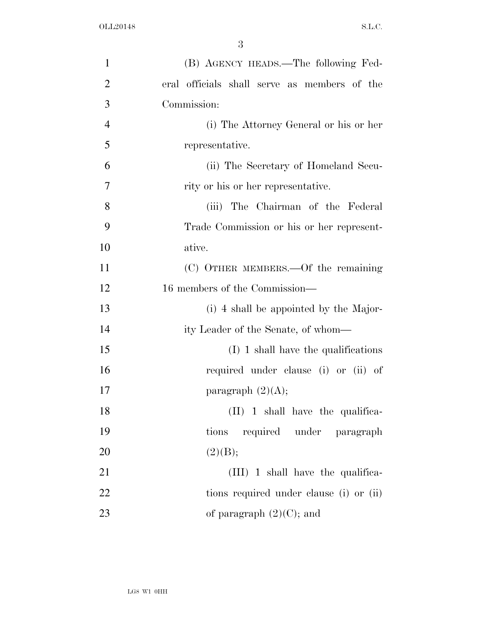| $\mathbf{1}$   | (B) AGENCY HEADS.—The following Fed-         |
|----------------|----------------------------------------------|
| $\overline{2}$ | eral officials shall serve as members of the |
| 3              | Commission:                                  |
| $\overline{4}$ | (i) The Attorney General or his or her       |
| 5              | representative.                              |
| 6              | (ii) The Secretary of Homeland Secu-         |
| 7              | rity or his or her representative.           |
| 8              | (iii) The Chairman of the Federal            |
| 9              | Trade Commission or his or her represent-    |
| 10             | ative.                                       |
| 11             | (C) OTHER MEMBERS.—Of the remaining          |
| 12             | 16 members of the Commission—                |
| 13             | (i) 4 shall be appointed by the Major-       |
| 14             | ity Leader of the Senate, of whom—           |
| 15             | $(I)$ 1 shall have the qualifications        |
| 16             | required under clause (i) or (ii) of         |
| 17             | paragraph $(2)(A);$                          |
| 18             | (II) 1 shall have the qualifica-             |
| 19             | tions required under paragraph               |
| 20             | (2)(B);                                      |
| 21             | (III) 1 shall have the qualifica-            |
| 22             | tions required under clause (i) or (ii)      |
| 23             | of paragraph $(2)(C)$ ; and                  |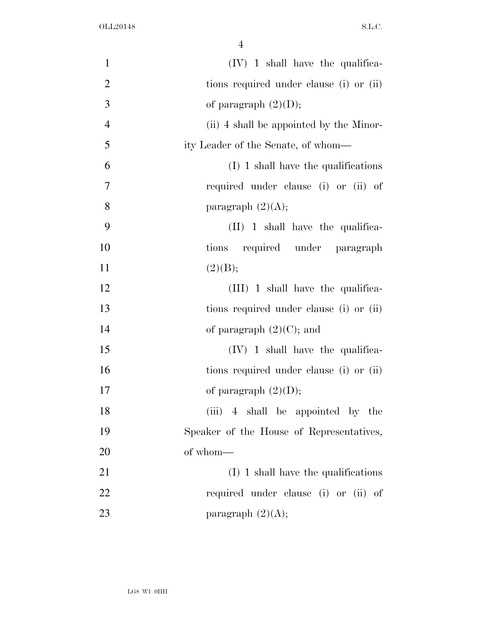| $\mathbf{1}$   | $(IV)$ 1 shall have the qualifica-       |
|----------------|------------------------------------------|
| $\overline{2}$ | tions required under clause (i) or (ii)  |
| 3              | of paragraph $(2)(D)$ ;                  |
| $\overline{4}$ | (ii) 4 shall be appointed by the Minor-  |
| 5              | ity Leader of the Senate, of whom—       |
| 6              | $(I)$ 1 shall have the qualifications    |
| $\overline{7}$ | required under clause (i) or (ii) of     |
| 8              | paragraph $(2)(A);$                      |
| 9              | $(II)$ 1 shall have the qualifica-       |
| 10             | tions required under paragraph           |
| 11             | (2)(B);                                  |
| 12             | $(III)$ 1 shall have the qualifica-      |
| 13             | tions required under clause (i) or (ii)  |
| 14             | of paragraph $(2)(C)$ ; and              |
| 15             | $(IV)$ 1 shall have the qualifica-       |
| 16             | tions required under clause (i) or (ii)  |
| 17             | of paragraph $(2)(D)$ ;                  |
| 18             | (iii) 4 shall be appointed by the        |
| 19             | Speaker of the House of Representatives, |
| 20             | of whom-                                 |
| 21             | $(I)$ 1 shall have the qualifications    |
| 22             | required under clause (i) or (ii) of     |
| 23             | paragraph $(2)(A);$                      |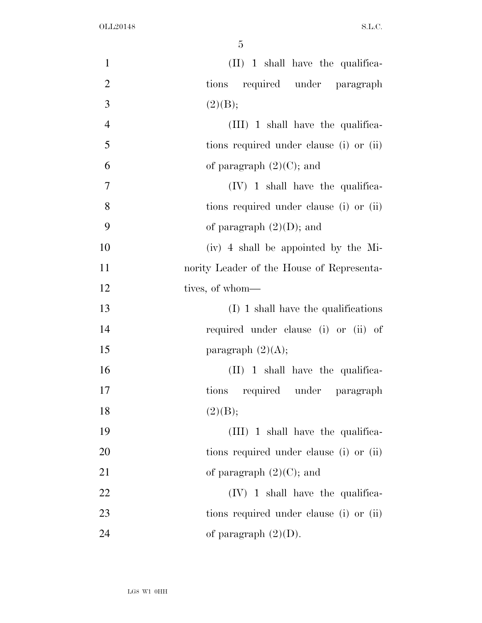| $\mathbf{1}$   | $(II)$ 1 shall have the qualifica-        |
|----------------|-------------------------------------------|
| $\mathbf{2}$   | tions required under paragraph            |
| 3              | (2)(B);                                   |
| $\overline{4}$ | $(III)$ 1 shall have the qualifica-       |
| 5              | tions required under clause (i) or (ii)   |
| 6              | of paragraph $(2)(C)$ ; and               |
| $\overline{7}$ | $(IV)$ 1 shall have the qualifica-        |
| 8              | tions required under clause (i) or (ii)   |
| 9              | of paragraph $(2)(D)$ ; and               |
| 10             | (iv) 4 shall be appointed by the Mi-      |
| 11             | nority Leader of the House of Representa- |
| 12             | tives, of whom—                           |
| 13             | $(I)$ 1 shall have the qualifications     |
| 14             | required under clause (i) or (ii) of      |
| 15             | paragraph $(2)(A);$                       |
| 16             | $(II)$ 1 shall have the qualifica-        |
| $17\,$         | tions required under paragraph            |
| 18             | (2)(B);                                   |
| 19             | $(III)$ 1 shall have the qualifica-       |
| 20             | tions required under clause (i) or (ii)   |
| 21             | of paragraph $(2)(C)$ ; and               |
| 22             | $(IV)$ 1 shall have the qualifica-        |
| 23             | tions required under clause (i) or (ii)   |
| 24             | of paragraph $(2)(D)$ .                   |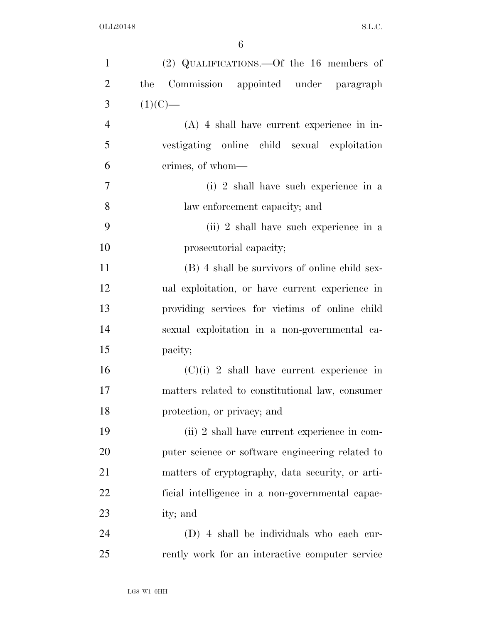| $\mathbf{1}$   | (2) QUALIFICATIONS.—Of the 16 members of         |
|----------------|--------------------------------------------------|
| $\overline{2}$ | Commission appointed under paragraph<br>the      |
| 3              | $(1)(C)$ —                                       |
| $\overline{4}$ | $(A)$ 4 shall have current experience in in-     |
| 5              | vestigating online child sexual exploitation     |
| 6              | crimes, of whom—                                 |
| $\overline{7}$ | (i) 2 shall have such experience in a            |
| 8              | law enforcement capacity; and                    |
| 9              | (ii) 2 shall have such experience in a           |
| 10             | prosecutorial capacity;                          |
| 11             | (B) 4 shall be survivors of online child sex-    |
| 12             | ual exploitation, or have current experience in  |
| 13             | providing services for victims of online child   |
| 14             | sexual exploitation in a non-governmental ca-    |
| 15             | pacity;                                          |
| 16             | $(C)(i)$ 2 shall have current experience in      |
| 17             | matters related to constitutional law, consumer  |
| 18             | protection, or privacy; and                      |
| 19             | (ii) 2 shall have current experience in com-     |
| 20             | puter science or software engineering related to |
| 21             | matters of cryptography, data security, or arti- |
| 22             | ficial intelligence in a non-governmental capac- |
| 23             | ity; and                                         |
| 24             | (D) 4 shall be individuals who each cur-         |
| 25             | rently work for an interactive computer service  |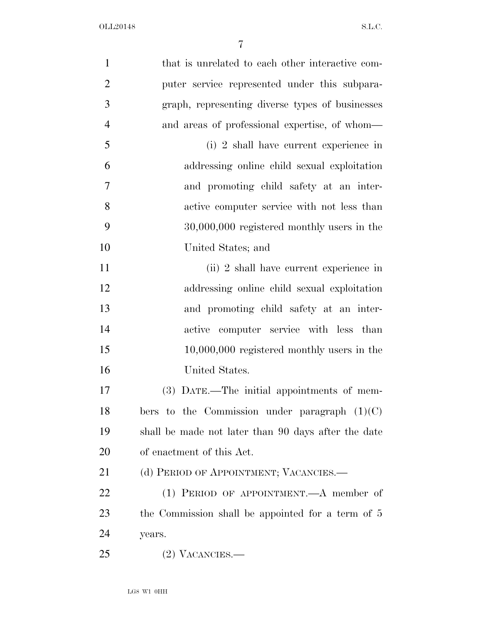| $\mathbf{1}$   | that is unrelated to each other interactive com-    |
|----------------|-----------------------------------------------------|
| $\overline{2}$ | puter service represented under this subpara-       |
| 3              | graph, representing diverse types of businesses     |
| $\overline{4}$ | and areas of professional expertise, of whom—       |
| 5              | (i) 2 shall have current experience in              |
| 6              | addressing online child sexual exploitation         |
| 7              | and promoting child safety at an inter-             |
| 8              | active computer service with not less than          |
| 9              | $30,000,000$ registered monthly users in the        |
| 10             | United States; and                                  |
| 11             | (ii) 2 shall have current experience in             |
| 12             | addressing online child sexual exploitation         |
| 13             | and promoting child safety at an inter-             |
| 14             | active computer service with less than              |
| 15             | $10,000,000$ registered monthly users in the        |
| 16             | United States.                                      |
| 17             | (3) DATE.—The initial appointments of mem-          |
| 18             | bers to the Commission under paragraph $(1)(C)$     |
| 19             | shall be made not later than 90 days after the date |
| 20             | of enactment of this Act.                           |
| 21             | (d) PERIOD OF APPOINTMENT; VACANCIES.—              |
| 22             | (1) PERIOD OF APPOINTMENT.—A member of              |
| 23             | the Commission shall be appointed for a term of 5   |
| 24             | years.                                              |
| 25             | $(2)$ VACANCIES.—                                   |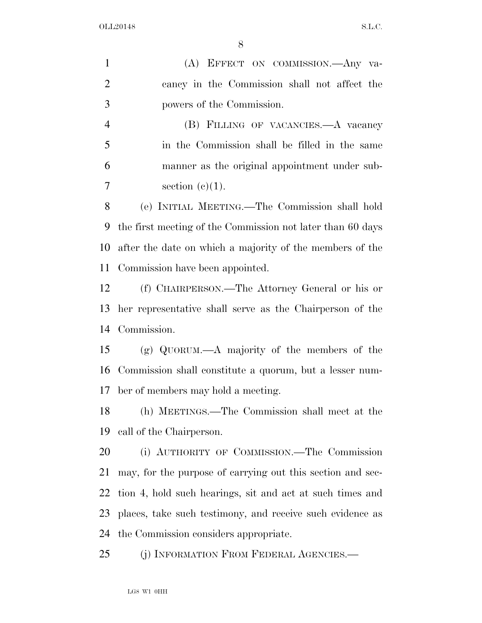(A) EFFECT ON COMMISSION.—Any va- cancy in the Commission shall not affect the powers of the Commission. (B) FILLING OF VACANCIES.—A vacancy in the Commission shall be filled in the same manner as the original appointment under sub-7 section  $(e)(1)$ . (e) INITIAL MEETING.—The Commission shall hold the first meeting of the Commission not later than 60 days after the date on which a majority of the members of the Commission have been appointed. (f) CHAIRPERSON.—The Attorney General or his or her representative shall serve as the Chairperson of the Commission. (g) QUORUM.—A majority of the members of the Commission shall constitute a quorum, but a lesser num- ber of members may hold a meeting. (h) MEETINGS.—The Commission shall meet at the call of the Chairperson. (i) AUTHORITY OF COMMISSION.—The Commission may, for the purpose of carrying out this section and sec- tion 4, hold such hearings, sit and act at such times and places, take such testimony, and receive such evidence as the Commission considers appropriate. 25 (i) INFORMATION FROM FEDERAL AGENCIES.

LG8 W1 0HH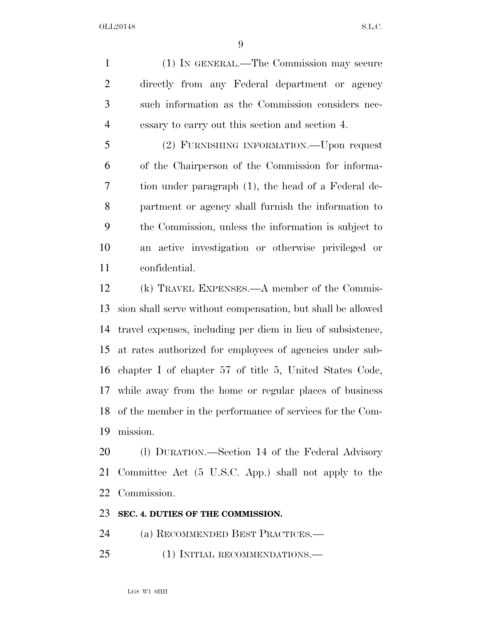(1) IN GENERAL.—The Commission may secure directly from any Federal department or agency such information as the Commission considers nec-essary to carry out this section and section 4.

 (2) FURNISHING INFORMATION.—Upon request of the Chairperson of the Commission for informa- tion under paragraph (1), the head of a Federal de- partment or agency shall furnish the information to the Commission, unless the information is subject to an active investigation or otherwise privileged or confidential.

 (k) TRAVEL EXPENSES.—A member of the Commis- sion shall serve without compensation, but shall be allowed travel expenses, including per diem in lieu of subsistence, at rates authorized for employees of agencies under sub- chapter I of chapter 57 of title 5, United States Code, while away from the home or regular places of business of the member in the performance of services for the Com-mission.

 (l) DURATION.—Section 14 of the Federal Advisory Committee Act (5 U.S.C. App.) shall not apply to the Commission.

#### **SEC. 4. DUTIES OF THE COMMISSION.**

(a) RECOMMENDED BEST PRACTICES.—

(1) INITIAL RECOMMENDATIONS.—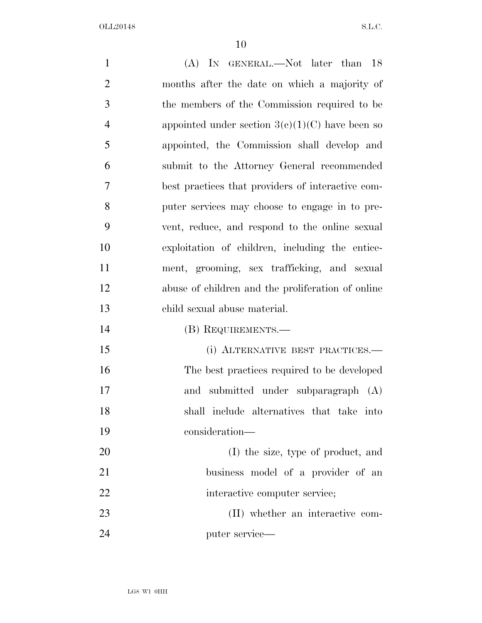| $\mathbf{1}$   | (A) IN GENERAL.—Not later than 18                 |
|----------------|---------------------------------------------------|
| $\overline{2}$ | months after the date on which a majority of      |
| 3              | the members of the Commission required to be      |
| $\overline{4}$ | appointed under section $3(c)(1)(C)$ have been so |
| 5              | appointed, the Commission shall develop and       |
| 6              | submit to the Attorney General recommended        |
| 7              | best practices that providers of interactive com- |
| 8              | puter services may choose to engage in to pre-    |
| 9              | vent, reduce, and respond to the online sexual    |
| 10             | exploitation of children, including the entice-   |
| 11             | ment, grooming, sex trafficking, and sexual       |
| 12             | abuse of children and the proliferation of online |
| 13             | child sexual abuse material.                      |
| 14             | (B) REQUIREMENTS.—                                |
| 15             | (i) ALTERNATIVE BEST PRACTICES.—                  |
| 16             | The best practices required to be developed       |
| 17             | and submitted under subparagraph (A)              |
| 18             | shall include alternatives that take into         |
| 19             | consideration-                                    |
| 20             | (I) the size, type of product, and                |
| 21             | business model of a provider of an                |
| 22             | interactive computer service;                     |
| 23             | (II) whether an interactive com-                  |
| 24             | puter service—                                    |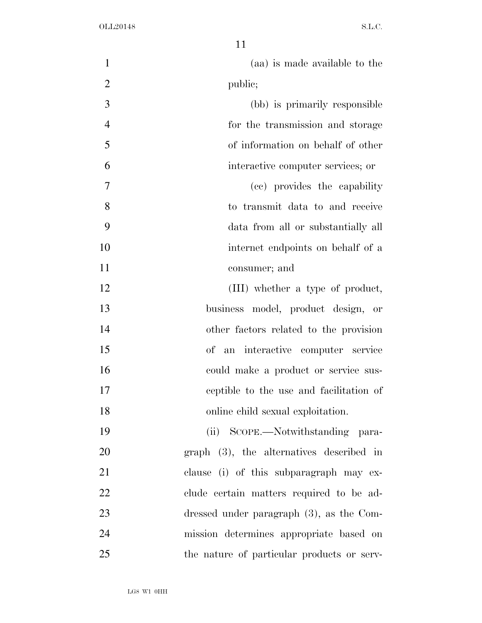| $\mathbf{1}$   | (aa) is made available to the               |
|----------------|---------------------------------------------|
| $\overline{2}$ | public;                                     |
| 3              | (bb) is primarily responsible               |
| $\overline{4}$ | for the transmission and storage            |
| 5              | of information on behalf of other           |
| 6              | interactive computer services; or           |
| 7              | (cc) provides the capability                |
| 8              | to transmit data to and receive             |
| 9              | data from all or substantially all          |
| 10             | internet endpoints on behalf of a           |
| 11             | consumer; and                               |
| 12             | (III) whether a type of product,            |
| 13             | business model, product design, or          |
| 14             | other factors related to the provision      |
| 15             | of an interactive computer service          |
| 16             | could make a product or service sus-        |
| 17             | ceptible to the use and facilitation of     |
| 18             | online child sexual exploitation.           |
| 19             | (ii) SCOPE.—Notwithstanding para-           |
| 20             | $graph$ (3), the alternatives described in  |
| 21             | clause (i) of this subparagraph may ex-     |
| 22             | clude certain matters required to be ad-    |
| 23             | dressed under paragraph $(3)$ , as the Com- |
| 24             | mission determines appropriate based on     |
| 25             | the nature of particular products or serv-  |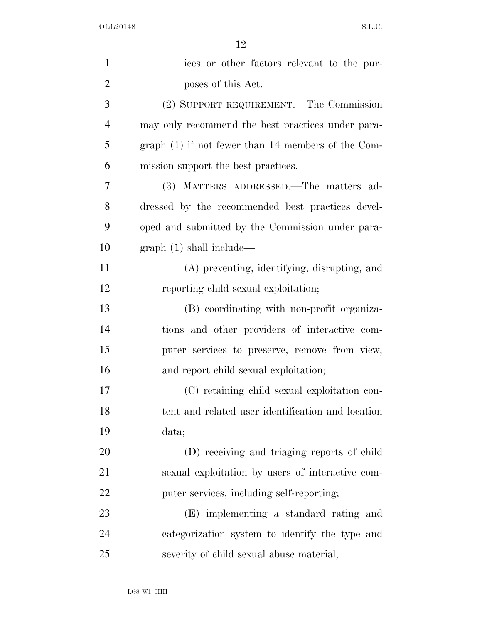| $\mathbf{1}$   | ices or other factors relevant to the pur-           |
|----------------|------------------------------------------------------|
| $\overline{2}$ | poses of this Act.                                   |
| 3              | (2) SUPPORT REQUIREMENT.—The Commission              |
| $\overline{4}$ | may only recommend the best practices under para-    |
| 5              | graph $(1)$ if not fewer than 14 members of the Com- |
| 6              | mission support the best practices.                  |
| 7              | (3) MATTERS ADDRESSED.—The matters ad-               |
| 8              | dressed by the recommended best practices devel-     |
| 9              | oped and submitted by the Commission under para-     |
| 10             | graph(1) shall include—                              |
| 11             | (A) preventing, identifying, disrupting, and         |
| 12             | reporting child sexual exploitation;                 |
| 13             | (B) coordinating with non-profit organiza-           |
| 14             | tions and other providers of interactive com-        |
| 15             | puter services to preserve, remove from view,        |
| 16             | and report child sexual exploitation;                |
| 17             | (C) retaining child sexual exploitation con-         |
| 18             | tent and related user identification and location    |
| 19             | data;                                                |
| 20             | (D) receiving and triaging reports of child          |
| 21             | sexual exploitation by users of interactive com-     |
| 22             | puter services, including self-reporting;            |
| 23             | (E) implementing a standard rating and               |
| 24             | categorization system to identify the type and       |
| 25             | severity of child sexual abuse material;             |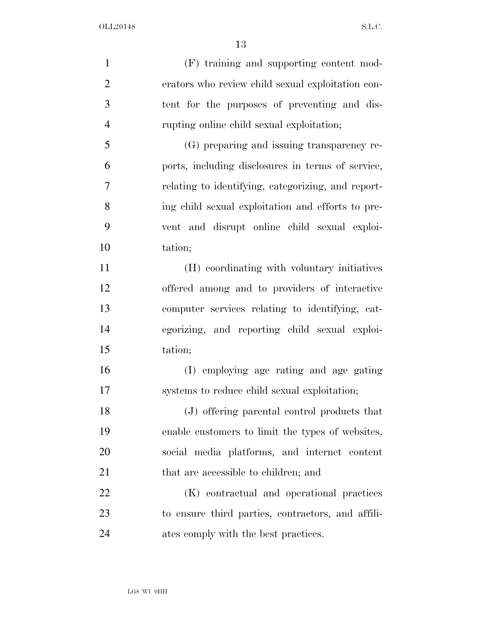| $\mathbf{1}$   | (F) training and supporting content mod-           |
|----------------|----------------------------------------------------|
| $\overline{2}$ | erators who review child sexual exploitation con-  |
| 3              | tent for the purposes of preventing and dis-       |
| $\overline{4}$ | rupting online child sexual exploitation;          |
| 5              | (G) preparing and issuing transparency re-         |
| 6              | ports, including disclosures in terms of service,  |
| $\overline{7}$ | relating to identifying, categorizing, and report- |
| 8              | ing child sexual exploitation and efforts to pre-  |
| 9              | vent and disrupt online child sexual exploi-       |
| 10             | tation;                                            |
| 11             | (H) coordinating with voluntary initiatives        |
| 12             | offered among and to providers of interactive      |
| 13             | computer services relating to identifying, cat-    |
| 14             | egorizing, and reporting child sexual exploi-      |
| 15             | tation;                                            |
| 16             | (I) employing age rating and age gating            |
| 17             | systems to reduce child sexual exploitation;       |
| 18             | (J) offering parental control products that        |
| 19             | enable customers to limit the types of websites,   |
| 20             | social media platforms, and internet content       |
| 21             | that are accessible to children; and               |
| 22             | (K) contractual and operational practices          |
| 23             | to ensure third parties, contractors, and affili-  |
| 24             | ates comply with the best practices.               |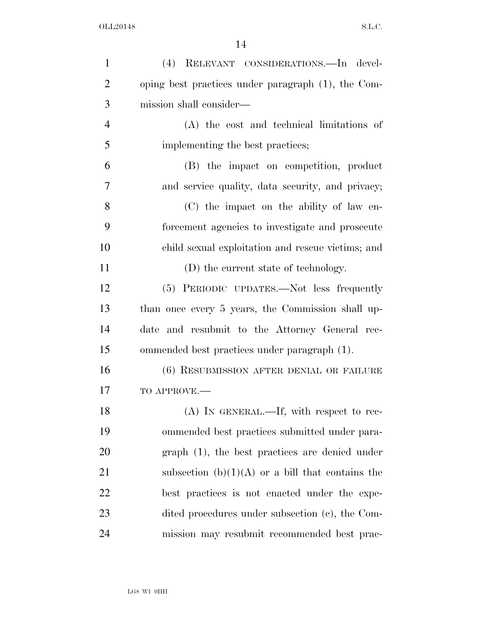| $\mathbf{1}$   | (4) RELEVANT CONSIDERATIONS. In devel-             |
|----------------|----------------------------------------------------|
| $\overline{2}$ | oping best practices under paragraph (1), the Com- |
| 3              | mission shall consider—                            |
| $\overline{4}$ | (A) the cost and technical limitations of          |
| 5              | implementing the best practices;                   |
| 6              | (B) the impact on competition, product             |
| $\overline{7}$ | and service quality, data security, and privacy;   |
| 8              | (C) the impact on the ability of law en-           |
| 9              | forcement agencies to investigate and prosecute    |
| 10             | child sexual exploitation and rescue victims; and  |
| 11             | (D) the current state of technology.               |
| 12             | (5) PERIODIC UPDATES.—Not less frequently          |
| 13             | than once every 5 years, the Commission shall up-  |
| 14             | and resubmit to the Attorney General rec-<br>date  |
| 15             | ommended best practices under paragraph (1).       |
| 16             | (6) RESUBMISSION AFTER DENIAL OR FAILURE           |
| 17             | TO APPROVE.-                                       |
| 18             | (A) IN GENERAL.—If, with respect to rec-           |
| 19             | ommended best practices submitted under para-      |
| 20             | $graph(1)$ , the best practices are denied under   |
| 21             | subsection $(b)(1)(A)$ or a bill that contains the |
| 22             | best practices is not enacted under the expe-      |
| 23             | dited procedures under subsection (c), the Com-    |
| 24             | mission may resubmit recommended best prac-        |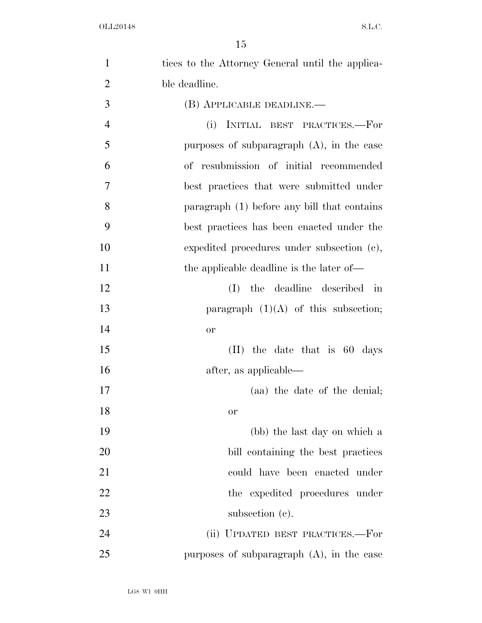| $\mathbf{1}$   | tices to the Attorney General until the applica- |
|----------------|--------------------------------------------------|
| $\overline{2}$ | ble deadline.                                    |
| 3              | (B) APPLICABLE DEADLINE.—                        |
| $\overline{4}$ | INITIAL BEST PRACTICES.-For<br>(i)               |
| 5              | purposes of subparagraph $(A)$ , in the case     |
| 6              | of resubmission of initial recommended           |
| 7              | best practices that were submitted under         |
| 8              | paragraph (1) before any bill that contains      |
| 9              | best practices has been enacted under the        |
| 10             | expedited procedures under subsection (c),       |
| 11             | the applicable deadline is the later of—         |
| 12             | the deadline described in<br>(I)                 |
| 13             | paragraph $(1)(A)$ of this subsection;           |
| 14             | <b>or</b>                                        |
| 15             | $(II)$ the date that is 60 days                  |
| 16             | after, as applicable—                            |
| 17             | (aa) the date of the denial;                     |
| 18             | or                                               |
| 19             | (bb) the last day on which a                     |
| 20             | bill containing the best practices               |
| 21             | could have been enacted under                    |
| 22             | the expedited procedures under                   |
| 23             | subsection $(c)$ .                               |
| 24             | (ii) UPDATED BEST PRACTICES.—For                 |
| 25             | purposes of subparagraph $(A)$ , in the case     |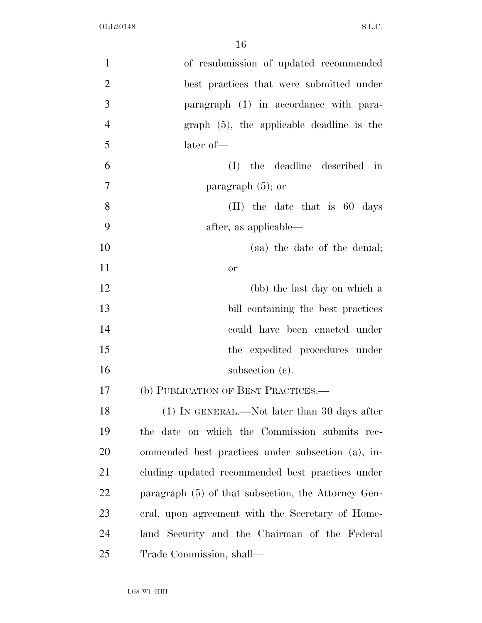| $\mathbf{1}$   | of resubmission of updated recommended              |
|----------------|-----------------------------------------------------|
| $\overline{2}$ | best practices that were submitted under            |
| 3              | paragraph (1) in accordance with para-              |
| $\overline{4}$ | $graph$ (5), the applicable deadline is the         |
| 5              | later of-                                           |
| 6              | the deadline described in<br>(I)                    |
| $\overline{7}$ | paragraph $(5)$ ; or                                |
| 8              | $(II)$ the date that is 60 days                     |
| 9              | after, as applicable—                               |
| 10             | (aa) the date of the denial;                        |
| 11             | <b>or</b>                                           |
| 12             | (bb) the last day on which a                        |
| 13             | bill containing the best practices                  |
| 14             | could have been enacted under                       |
| 15             | the expedited procedures under                      |
| 16             | subsection $(c)$ .                                  |
| 17             | (b) PUBLICATION OF BEST PRACTICES.—                 |
| 18             | (1) IN GENERAL.—Not later than 30 days after        |
| 19             | the date on which the Commission submits rec-       |
| 20             | ommended best practices under subsection (a), in-   |
| 21             | cluding updated recommended best practices under    |
| 22             | paragraph (5) of that subsection, the Attorney Gen- |
| 23             | eral, upon agreement with the Secretary of Home-    |
| 24             | land Security and the Chairman of the Federal       |
| 25             | Trade Commission, shall—                            |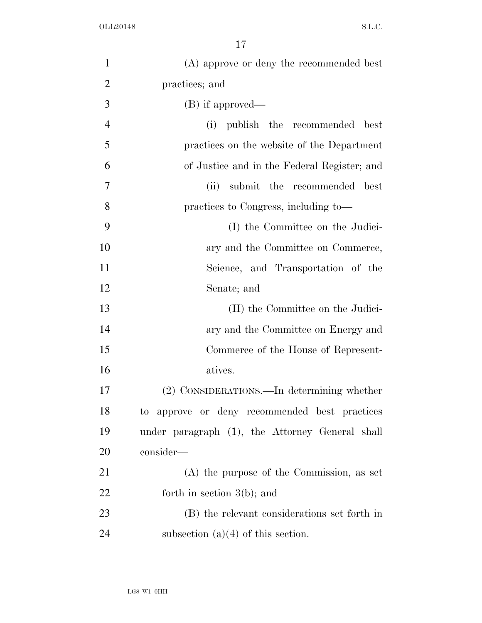| $\mathbf{1}$   | (A) approve or deny the recommended best        |
|----------------|-------------------------------------------------|
| $\overline{2}$ | practices; and                                  |
| 3              | (B) if approved—                                |
| $\overline{4}$ | publish the recommended<br>(i)<br>best          |
| 5              | practices on the website of the Department      |
| 6              | of Justice and in the Federal Register; and     |
| 7              | submit the recommended<br>(ii)<br>best          |
| 8              | practices to Congress, including to—            |
| 9              | (I) the Committee on the Judici-                |
| 10             | ary and the Committee on Commerce,              |
| 11             | Science, and Transportation of the              |
| 12             | Senate; and                                     |
| 13             | (II) the Committee on the Judici-               |
| 14             | ary and the Committee on Energy and             |
| 15             | Commerce of the House of Represent-             |
| 16             | atives.                                         |
| 17             | (2) CONSIDERATIONS.—In determining whether      |
| 18             | to approve or deny recommended best practices   |
| 19             | under paragraph (1), the Attorney General shall |
| 20             | consider—                                       |
| 21             | $(A)$ the purpose of the Commission, as set     |
| 22             | forth in section $3(b)$ ; and                   |
| 23             | (B) the relevant considerations set forth in    |
| 24             | subsection $(a)(4)$ of this section.            |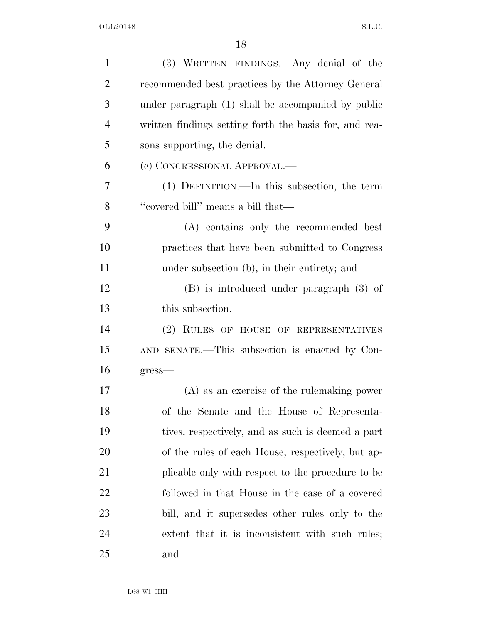| $\mathbf{1}$   | (3) WRITTEN FINDINGS.—Any denial of the                |
|----------------|--------------------------------------------------------|
| $\overline{2}$ | recommended best practices by the Attorney General     |
| 3              | under paragraph (1) shall be accompanied by public     |
| $\overline{4}$ | written findings setting forth the basis for, and rea- |
| 5              | sons supporting, the denial.                           |
| 6              | (c) CONGRESSIONAL APPROVAL.-                           |
| 7              | $(1)$ DEFINITION.—In this subsection, the term         |
| 8              | "covered bill" means a bill that—                      |
| 9              | (A) contains only the recommended best                 |
| 10             | practices that have been submitted to Congress         |
| 11             | under subsection (b), in their entirety; and           |
| 12             | $(B)$ is introduced under paragraph $(3)$ of           |
| 13             | this subsection.                                       |
| 14             | (2) RULES OF HOUSE OF REPRESENTATIVES                  |
| 15             | AND SENATE.—This subsection is enacted by Con-         |
| 16             | $gress$ —                                              |
| 17             | $(A)$ as an exercise of the rule making power          |
| 18             | of the Senate and the House of Representa-             |
| 19             | tives, respectively, and as such is deemed a part      |
| 20             | of the rules of each House, respectively, but ap-      |
| 21             | plicable only with respect to the procedure to be      |
| <u>22</u>      | followed in that House in the case of a covered        |
| 23             | bill, and it supersedes other rules only to the        |
| 24             | extent that it is inconsistent with such rules;        |
| 25             | and                                                    |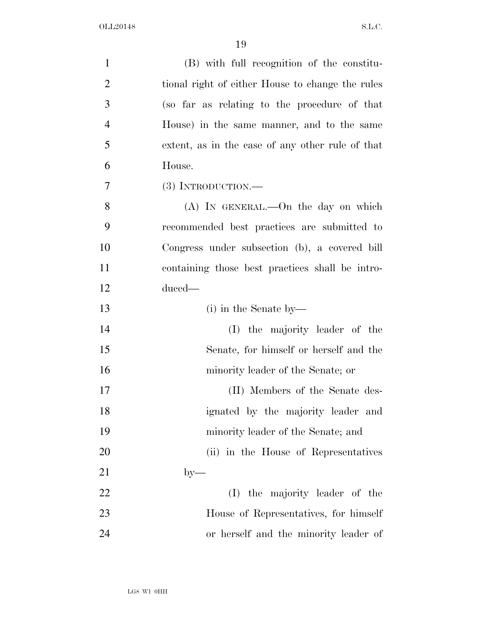| $\mathbf{1}$   | (B) with full recognition of the constitu-       |
|----------------|--------------------------------------------------|
| $\overline{2}$ | tional right of either House to change the rules |
| 3              | (so far as relating to the procedure of that     |
| $\overline{4}$ | House) in the same manner, and to the same       |
| 5              | extent, as in the case of any other rule of that |
| 6              | House.                                           |
| 7              | $(3)$ INTRODUCTION.—                             |
| 8              | $(A)$ In GENERAL.—On the day on which            |
| 9              | recommended best practices are submitted to      |
| 10             | Congress under subsection (b), a covered bill    |
| 11             | containing those best practices shall be intro-  |
| 12             | duced—                                           |
| 13             | $(i)$ in the Senate by—                          |
| 14             | (I) the majority leader of the                   |
| 15             | Senate, for himself or herself and the           |
| 16             | minority leader of the Senate; or                |
| 17             | (II) Members of the Senate des-                  |
| 18             | ignated by the majority leader and               |
| 19             | minority leader of the Senate; and               |
| 20             | (ii) in the House of Representatives             |
| 21             | $by-$                                            |
| 22             | the majority leader of the<br>(I)                |
| 23             | House of Representatives, for himself            |
| 24             | or herself and the minority leader of            |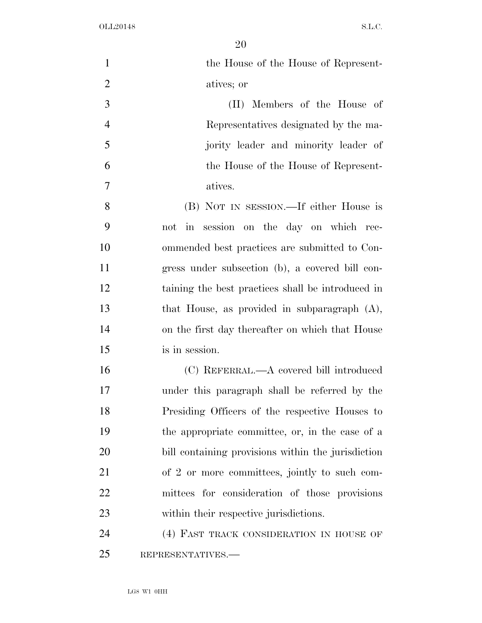| $\mathbf{1}$   | the House of the House of Represent-               |
|----------------|----------------------------------------------------|
| $\overline{2}$ | atives; or                                         |
| 3              | (II) Members of the House of                       |
| $\overline{4}$ | Representatives designated by the ma-              |
| 5              | jority leader and minority leader of               |
| 6              | the House of the House of Represent-               |
| 7              | atives.                                            |
| 8              | (B) NOT IN SESSION.—If either House is             |
| 9              | in session on the day on which rec-<br>not         |
| 10             | ommended best practices are submitted to Con-      |
| 11             | gress under subsection (b), a covered bill con-    |
| 12             | taining the best practices shall be introduced in  |
| 13             | that House, as provided in subparagraph $(A)$ ,    |
| 14             | on the first day thereafter on which that House    |
| 15             | is in session.                                     |
| 16             | (C) REFERRAL.—A covered bill introduced            |
| 17             | under this paragraph shall be referred by the      |
| 18             | Presiding Officers of the respective Houses to     |
| 19             | the appropriate committee, or, in the case of a    |
| 20             | bill containing provisions within the jurisdiction |
| 21             | of 2 or more committees, jointly to such com-      |
| 22             | mittees for consideration of those provisions      |
| 23             | within their respective jurisdictions.             |
| 24             | (4) FAST TRACK CONSIDERATION IN HOUSE OF           |
| 25             | REPRESENTATIVES.-                                  |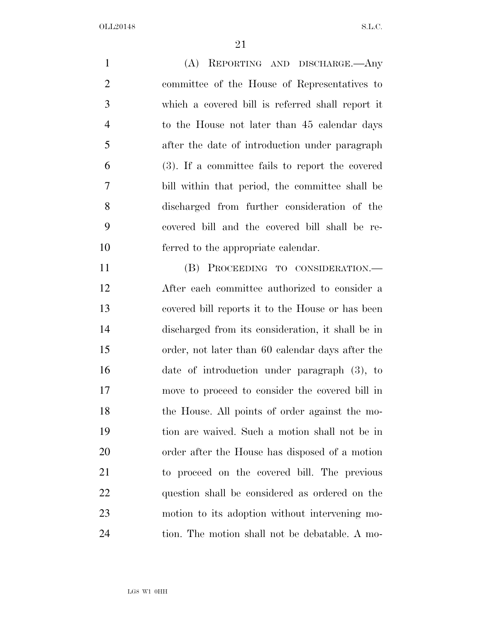(A) REPORTING AND DISCHARGE.—Any committee of the House of Representatives to which a covered bill is referred shall report it to the House not later than 45 calendar days after the date of introduction under paragraph (3). If a committee fails to report the covered bill within that period, the committee shall be discharged from further consideration of the covered bill and the covered bill shall be re-ferred to the appropriate calendar.

 (B) PROCEEDING TO CONSIDERATION.— After each committee authorized to consider a covered bill reports it to the House or has been discharged from its consideration, it shall be in order, not later than 60 calendar days after the date of introduction under paragraph (3), to move to proceed to consider the covered bill in the House. All points of order against the mo- tion are waived. Such a motion shall not be in order after the House has disposed of a motion to proceed on the covered bill. The previous question shall be considered as ordered on the motion to its adoption without intervening mo-tion. The motion shall not be debatable. A mo-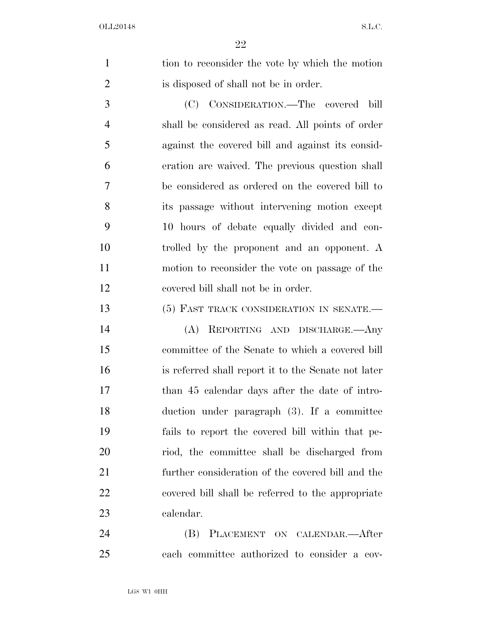1 tion to reconsider the vote by which the motion is disposed of shall not be in order.

 (C) CONSIDERATION.—The covered bill shall be considered as read. All points of order against the covered bill and against its consid- eration are waived. The previous question shall be considered as ordered on the covered bill to its passage without intervening motion except 10 hours of debate equally divided and con- trolled by the proponent and an opponent. A motion to reconsider the vote on passage of the covered bill shall not be in order.

13 (5) FAST TRACK CONSIDERATION IN SENATE.

 (A) REPORTING AND DISCHARGE.—Any committee of the Senate to which a covered bill is referred shall report it to the Senate not later than 45 calendar days after the date of intro- duction under paragraph (3). If a committee fails to report the covered bill within that pe- riod, the committee shall be discharged from further consideration of the covered bill and the covered bill shall be referred to the appropriate calendar.

 (B) PLACEMENT ON CALENDAR.—After each committee authorized to consider a cov-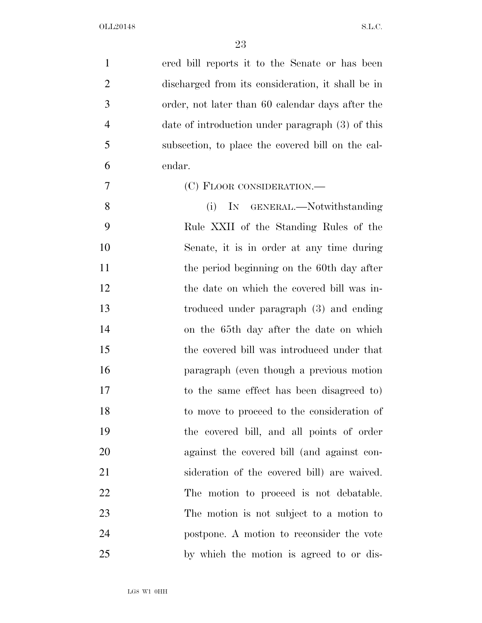| $\mathbf{1}$   | ered bill reports it to the Senate or has been    |
|----------------|---------------------------------------------------|
| $\overline{2}$ | discharged from its consideration, it shall be in |
| 3              | order, not later than 60 calendar days after the  |
| $\overline{4}$ | date of introduction under paragraph (3) of this  |
| 5              | subsection, to place the covered bill on the cal- |
| 6              | endar.                                            |
| 7              | (C) FLOOR CONSIDERATION.—                         |
| 8              | IN GENERAL.—Notwithstanding<br>(i)                |
| 9              | Rule XXII of the Standing Rules of the            |
| 10             | Senate, it is in order at any time during         |
| 11             | the period beginning on the 60th day after        |
| 12             | the date on which the covered bill was in-        |
| 13             | troduced under paragraph (3) and ending           |
| 14             | on the 65th day after the date on which           |
| 15             | the covered bill was introduced under that        |
| 16             | paragraph (even though a previous motion          |
| 17             | to the same effect has been disagreed to          |
| 18             | to move to proceed to the consideration of        |
| 19             | the covered bill, and all points of order         |
| 20             | against the covered bill (and against con-        |
| 21             | sideration of the covered bill) are waived.       |
| 22             | The motion to proceed is not debatable.           |
| 23             | The motion is not subject to a motion to          |
| 24             | postpone. A motion to reconsider the vote         |
| 25             | by which the motion is agreed to or dis-          |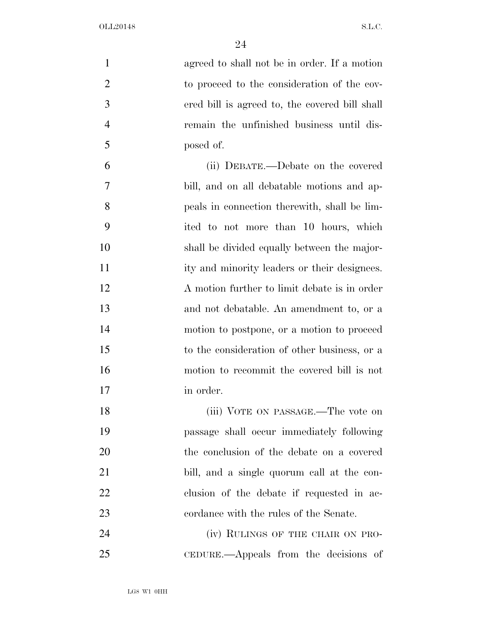| $\mathbf{1}$   | agreed to shall not be in order. If a motion   |
|----------------|------------------------------------------------|
| $\overline{2}$ | to proceed to the consideration of the cov-    |
| 3              | ered bill is agreed to, the covered bill shall |
| $\overline{4}$ | remain the unfinished business until dis-      |
| 5              | posed of.                                      |
| 6              | (ii) DEBATE.—Debate on the covered             |
| 7              | bill, and on all debatable motions and ap-     |
| 8              | peals in connection therewith, shall be lim-   |
| 9              | ited to not more than 10 hours, which          |
| 10             | shall be divided equally between the major-    |
| 11             | ity and minority leaders or their designees.   |
| 12             | A motion further to limit debate is in order   |
| 13             | and not debatable. An amendment to, or a       |
| 14             | motion to postpone, or a motion to proceed     |
| 15             | to the consideration of other business, or a   |
| 16             | motion to recommit the covered bill is not     |
| 17             | in order.                                      |
| 18             | (iii) VOTE ON PASSAGE.—The vote on             |
| 19             | passage shall occur immediately following      |
| 20             | the conclusion of the debate on a covered      |
| 21             | bill, and a single quorum call at the con-     |
| 22             | clusion of the debate if requested in ac-      |
| 23             | cordance with the rules of the Senate.         |
| 24             | (iv) RULINGS OF THE CHAIR ON PRO-              |
| 25             | CEDURE.—Appeals from the decisions of          |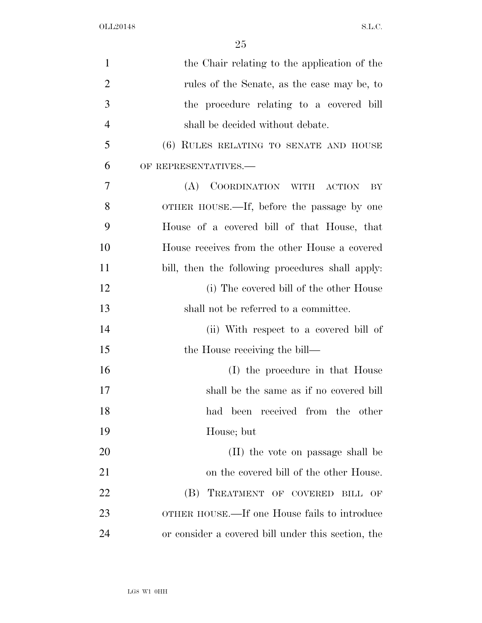| $\mathbf{1}$   | the Chair relating to the application of the       |
|----------------|----------------------------------------------------|
| $\overline{2}$ | rules of the Senate, as the case may be, to        |
| 3              | the procedure relating to a covered bill           |
| $\overline{4}$ | shall be decided without debate.                   |
| 5              | (6) RULES RELATING TO SENATE AND HOUSE             |
| 6              | OF REPRESENTATIVES.-                               |
| 7              | (A)<br>COORDINATION WITH ACTION<br>BY              |
| 8              | OTHER HOUSE.—If, before the passage by one         |
| 9              | House of a covered bill of that House, that        |
| 10             | House receives from the other House a covered      |
| 11             | bill, then the following procedures shall apply.   |
| 12             | (i) The covered bill of the other House            |
| 13             | shall not be referred to a committee.              |
| 14             | (ii) With respect to a covered bill of             |
| 15             | the House receiving the bill—                      |
| 16             | (I) the procedure in that House                    |
| 17             | shall be the same as if no covered bill            |
| 18             | had been received from the other                   |
| 19             | House; but                                         |
| 20             | (II) the vote on passage shall be                  |
| 21             | on the covered bill of the other House.            |
| 22             | (B) TREATMENT OF COVERED BILL<br>OF                |
| 23             | OTHER HOUSE.—If one House fails to introduce       |
| 24             | or consider a covered bill under this section, the |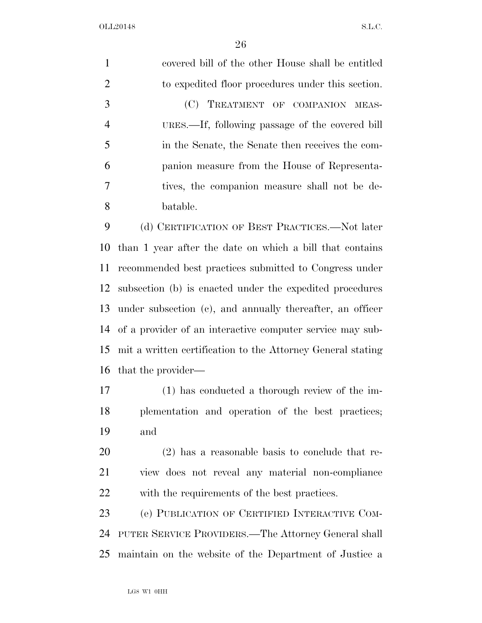| $\mathbf{1}$   | covered bill of the other House shall be entitled            |
|----------------|--------------------------------------------------------------|
| $\overline{2}$ | to expedited floor procedures under this section.            |
| 3              | (C) TREATMENT OF COMPANION MEAS-                             |
| $\overline{4}$ | URES.—If, following passage of the covered bill              |
| 5              | in the Senate, the Senate then receives the com-             |
| 6              | panion measure from the House of Representa-                 |
| 7              | tives, the companion measure shall not be de-                |
| 8              | batable.                                                     |
| 9              | (d) CERTIFICATION OF BEST PRACTICES.—Not later               |
| 10             | than 1 year after the date on which a bill that contains     |
| 11             | recommended best practices submitted to Congress under       |
| 12             | subsection (b) is enacted under the expedited procedures     |
|                | 13 under subsection (c), and annually thereafter, an officer |
|                | 14 of a provider of an interactive computer service may sub- |

 mit a written certification to the Attorney General stating that the provider—

 (1) has conducted a thorough review of the im- plementation and operation of the best practices; and

 (2) has a reasonable basis to conclude that re- view does not reveal any material non-compliance with the requirements of the best practices.

 (e) PUBLICATION OF CERTIFIED INTERACTIVE COM- PUTER SERVICE PROVIDERS.—The Attorney General shall maintain on the website of the Department of Justice a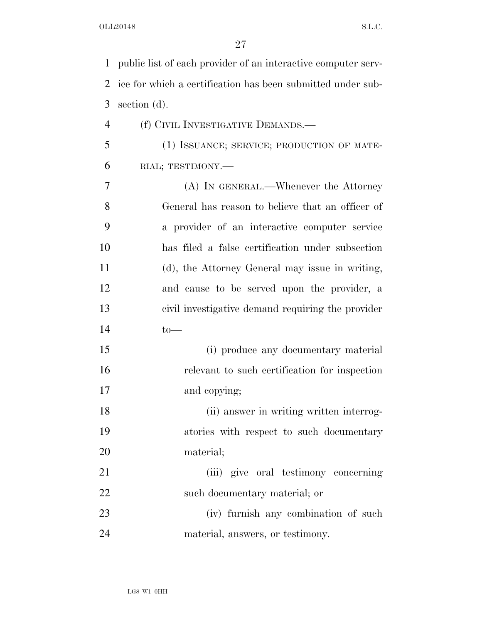| $\mathbf 1$    | public list of each provider of an interactive computer serv- |
|----------------|---------------------------------------------------------------|
| 2              | ice for which a certification has been submitted under sub-   |
| 3              | section $(d)$ .                                               |
| $\overline{4}$ | (f) CIVIL INVESTIGATIVE DEMANDS.—                             |
| 5              | (1) ISSUANCE; SERVICE; PRODUCTION OF MATE-                    |
| 6              | RIAL; TESTIMONY.-                                             |
| 7              | (A) IN GENERAL.—Whenever the Attorney                         |
| 8              | General has reason to believe that an officer of              |
| 9              | a provider of an interactive computer service                 |
| 10             | has filed a false certification under subsection              |
| 11             | (d), the Attorney General may issue in writing,               |
| 12             | and cause to be served upon the provider, a                   |
| 13             | civil investigative demand requiring the provider             |
| 14             | $to-$                                                         |
| 15             | (i) produce any documentary material                          |
| 16             | relevant to such certification for inspection                 |
| 17             | and copying;                                                  |
| 18             | (ii) answer in writing written interrog-                      |
| 19             | atories with respect to such documentary                      |
| 20             | material;                                                     |
| 21             | (iii) give oral testimony concerning                          |
| 22             | such documentary material; or                                 |
| 23             | (iv) furnish any combination of such                          |
| 24             | material, answers, or testimony.                              |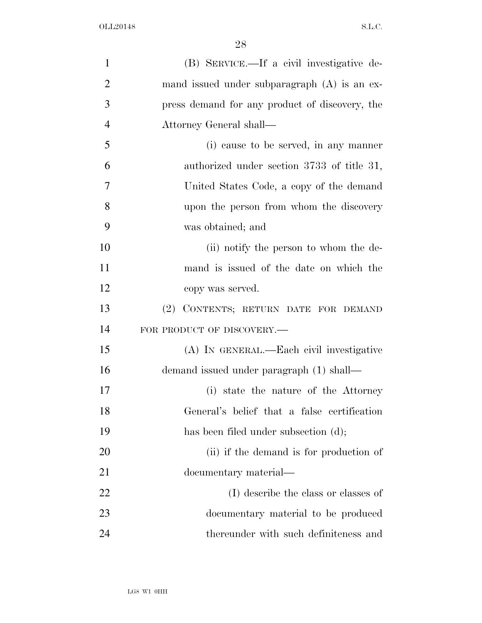| $\mathbf{1}$   | (B) SERVICE.—If a civil investigative de-      |
|----------------|------------------------------------------------|
| $\overline{2}$ | mand issued under subparagraph (A) is an ex-   |
| 3              | press demand for any product of discovery, the |
| $\overline{4}$ | Attorney General shall—                        |
| 5              | (i) cause to be served, in any manner          |
| 6              | authorized under section 3733 of title 31,     |
| 7              | United States Code, a copy of the demand       |
| 8              | upon the person from whom the discovery        |
| 9              | was obtained; and                              |
| 10             | (ii) notify the person to whom the de-         |
| 11             | mand is issued of the date on which the        |
| 12             | copy was served.                               |
| 13             | (2) CONTENTS; RETURN DATE FOR DEMAND           |
| 14             | FOR PRODUCT OF DISCOVERY.-                     |
| 15             | (A) IN GENERAL.—Each civil investigative       |
| 16             | demand issued under paragraph (1) shall—       |
| 17             | (i) state the nature of the Attorney           |
| 18             | General's belief that a false certification    |
| 19             | has been filed under subsection (d);           |
| 20             | (ii) if the demand is for production of        |
| 21             | documentary material—                          |
| 22             | (I) describe the class or classes of           |
| 23             | documentary material to be produced            |
| 24             | thereunder with such definiteness and          |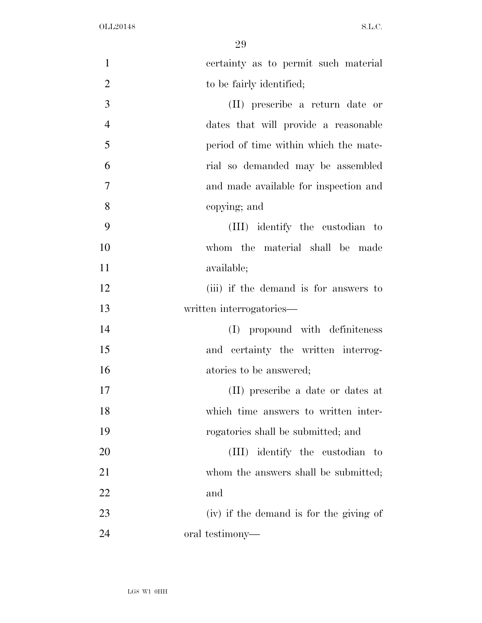| $\mathbf{1}$   | certainty as to permit such material    |
|----------------|-----------------------------------------|
| $\overline{2}$ | to be fairly identified;                |
| 3              | (II) prescribe a return date or         |
| $\overline{4}$ | dates that will provide a reasonable    |
| 5              | period of time within which the mate-   |
| 6              | rial so demanded may be assembled       |
| $\overline{7}$ | and made available for inspection and   |
| 8              | copying; and                            |
| 9              | (III) identify the custodian to         |
| 10             | whom the material shall be made         |
| 11             | available;                              |
| 12             | (iii) if the demand is for answers to   |
| 13             | written interrogatories—                |
| 14             | propound with definiteness<br>(I)       |
| 15             | and certainty the written interrog-     |
| 16             | atories to be answered;                 |
| 17             | (II) prescribe a date or dates at       |
| 18             | which time answers to written inter-    |
| 19             | rogatories shall be submitted; and      |
| 20             | (III) identify the custodian to         |
| 21             | whom the answers shall be submitted;    |
| 22             | and                                     |
| 23             | (iv) if the demand is for the giving of |
| 24             | oral testimony—                         |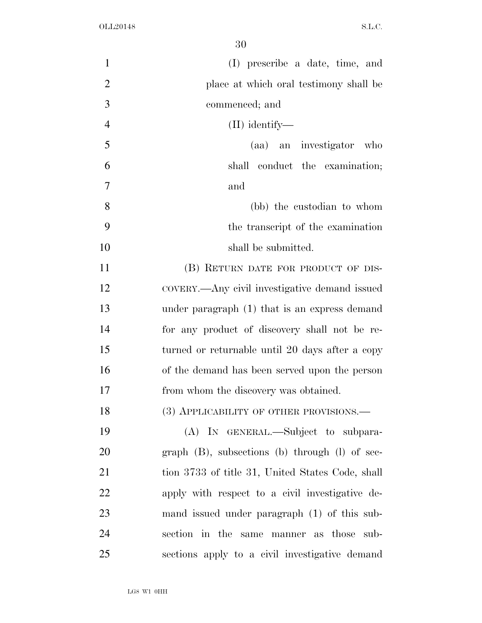| $\mathbf{1}$   | (I) prescribe a date, time, and                       |
|----------------|-------------------------------------------------------|
| $\overline{2}$ | place at which oral testimony shall be                |
| 3              | commenced; and                                        |
| $\overline{4}$ | $(II)$ identify—                                      |
| 5              | (aa) an investigator who                              |
| 6              | shall conduct the examination;                        |
| 7              | and                                                   |
| 8              | (bb) the custodian to whom                            |
| 9              | the transcript of the examination                     |
| 10             | shall be submitted.                                   |
| 11             | (B) RETURN DATE FOR PRODUCT OF DIS-                   |
| 12             | COVERY.—Any civil investigative demand issued         |
| 13             | under paragraph (1) that is an express demand         |
| 14             | for any product of discovery shall not be re-         |
| 15             | turned or returnable until 20 days after a copy       |
| 16             | of the demand has been served upon the person         |
| 17             | from whom the discovery was obtained.                 |
| 18             | (3) APPLICABILITY OF OTHER PROVISIONS.-               |
| 19             | (A) IN GENERAL.—Subject to subpara-                   |
| 20             | graph $(B)$ , subsections $(b)$ through $(l)$ of sec- |
| 21             | tion 3733 of title 31, United States Code, shall      |
| 22             | apply with respect to a civil investigative de-       |
| 23             | mand issued under paragraph (1) of this sub-          |
| 24             | section in the same manner as those sub-              |
| 25             | sections apply to a civil investigative demand        |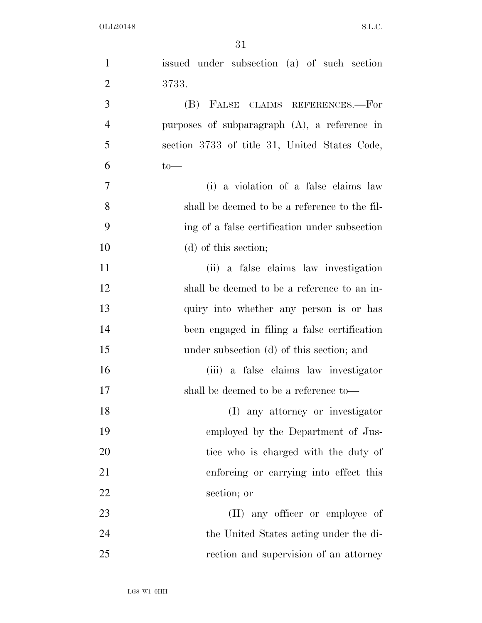| $\mathbf{1}$   | issued under subsection (a) of such section     |
|----------------|-------------------------------------------------|
| $\overline{2}$ | 3733.                                           |
| 3              | (B) FALSE CLAIMS REFERENCES.-For                |
| $\overline{4}$ | purposes of subparagraph $(A)$ , a reference in |
| 5              | section 3733 of title 31, United States Code,   |
| 6              | $to-$                                           |
| 7              | (i) a violation of a false claims law           |
| 8              | shall be deemed to be a reference to the fil-   |
| 9              | ing of a false certification under subsection   |
| 10             | (d) of this section;                            |
| 11             | (ii) a false claims law investigation           |
| 12             | shall be deemed to be a reference to an in-     |
| 13             | quiry into whether any person is or has         |
| 14             | been engaged in filing a false certification    |
| 15             | under subsection (d) of this section; and       |
| 16             | (iii) a false claims law investigator           |
| 17             | shall be deemed to be a reference to-           |
| 18             | (I) any attorney or investigator                |
| 19             | employed by the Department of Jus-              |
| 20             | tice who is charged with the duty of            |
| 21             | enforcing or carrying into effect this          |
| 22             | section; or                                     |
| 23             | (II) any officer or employee of                 |
| 24             | the United States acting under the di-          |
| 25             | rection and supervision of an attorney          |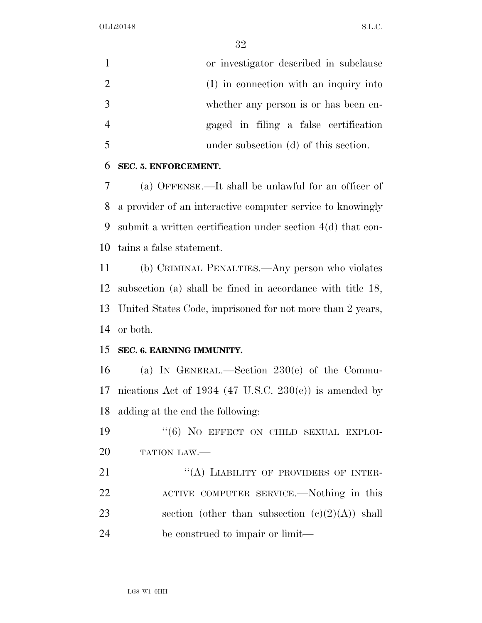| or investigator described in subclause |
|----------------------------------------|
| (I) in connection with an inquiry into |
| whether any person is or has been en-  |
| gaged in filing a false certification  |
| under subsection (d) of this section.  |

#### **SEC. 5. ENFORCEMENT.**

 (a) OFFENSE.—It shall be unlawful for an officer of a provider of an interactive computer service to knowingly submit a written certification under section 4(d) that con-tains a false statement.

 (b) CRIMINAL PENALTIES.—Any person who violates subsection (a) shall be fined in accordance with title 18, United States Code, imprisoned for not more than 2 years, or both.

#### **SEC. 6. EARNING IMMUNITY.**

 (a) IN GENERAL.—Section 230(e) of the Commu-17 nications Act of 1934 (47 U.S.C. 230 $(e)$ ) is amended by adding at the end the following:

19  $(6)$  NO EFFECT ON CHILD SEXUAL EXPLOI-TATION LAW.—

21 "(A) LIABILITY OF PROVIDERS OF INTER- ACTIVE COMPUTER SERVICE.—Nothing in this 23 section (other than subsection  $(e)(2)(A)$ ) shall be construed to impair or limit—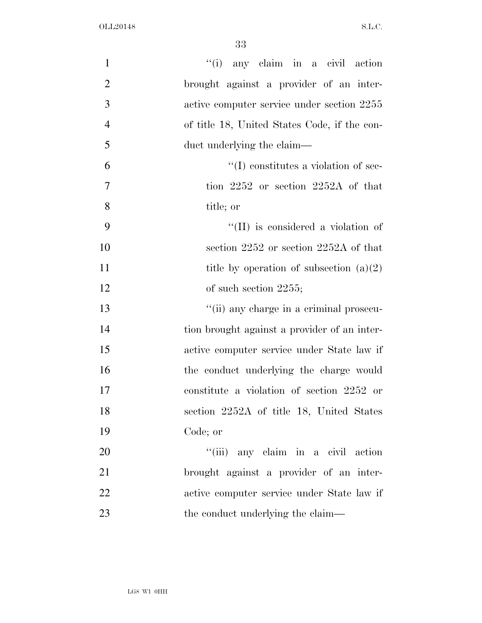| $\mathbf{1}$   | "(i) any claim in a civil action             |
|----------------|----------------------------------------------|
| $\overline{2}$ | brought against a provider of an inter-      |
| 3              | active computer service under section 2255   |
| $\overline{4}$ | of title 18, United States Code, if the con- |
| 5              | duct underlying the claim—                   |
| 6              | $\lq\lq$ constitutes a violation of sec-     |
| $\tau$         | tion $2252$ or section $2252A$ of that       |
| 8              | title; or                                    |
| 9              | "(II) is considered a violation of           |
| 10             | section 2252 or section 2252A of that        |
| 11             | title by operation of subsection $(a)(2)$    |
| 12             | of such section $2255$ ;                     |
| 13             | "(ii) any charge in a criminal prosecu-      |
| 14             | tion brought against a provider of an inter- |
| 15             | active computer service under State law if   |
| 16             | the conduct underlying the charge would      |
| 17             | constitute a violation of section 2252 or    |
| 18             | section 2252A of title 18, United States     |
| 19             | Code; or                                     |
| 20             | "(iii) any claim in a civil action           |
| 21             | brought against a provider of an inter-      |
| 22             | active computer service under State law if   |
| 23             | the conduct underlying the claim—            |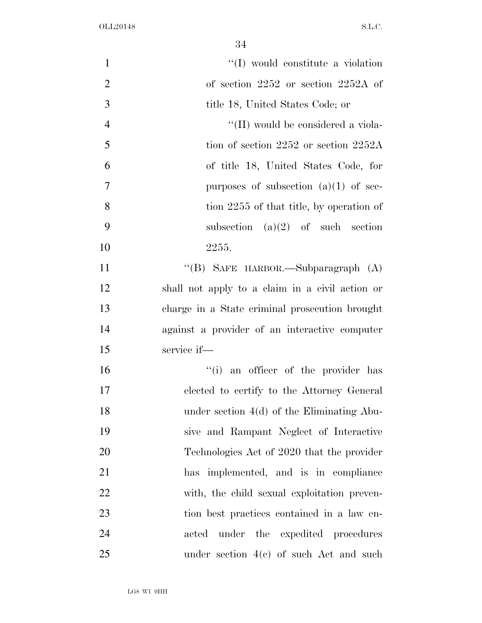| $\mathbf{1}$   | "(I) would constitute a violation               |
|----------------|-------------------------------------------------|
| $\overline{2}$ | of section $2252$ or section $2252A$ of         |
| 3              | title 18, United States Code; or                |
| $\overline{4}$ | "(II) would be considered a viola-              |
| 5              | tion of section $2252$ or section $2252A$       |
| 6              | of title 18, United States Code, for            |
| $\overline{7}$ | purposes of subsection $(a)(1)$ of sec-         |
| 8              | tion 2255 of that title, by operation of        |
| 9              | subsection $(a)(2)$ of such section             |
| 10             | 2255.                                           |
| 11             | "(B) SAFE HARBOR.—Subparagraph (A)              |
| 12             | shall not apply to a claim in a civil action or |
| 13             | charge in a State criminal prosecution brought  |
| 14             | against a provider of an interactive computer   |
| 15             | service if-                                     |
| 16             | "(i) an officer of the provider has             |
| 17             | elected to certify to the Attorney General      |
| 18             | under section $4(d)$ of the Eliminating Abu-    |
| 19             | sive and Rampant Neglect of Interactive         |
| 20             | Technologies Act of 2020 that the provider      |
| 21             | has implemented, and is in compliance           |
| 22             | with, the child sexual exploitation preven-     |
| 23             | tion best practices contained in a law en-      |
| 24             | acted under the expedited procedures            |
| 25             | under section $4(c)$ of such Act and such       |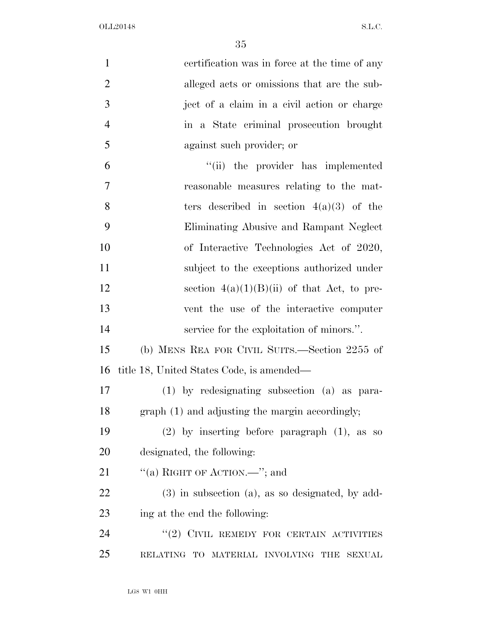| $\mathbf{1}$   | certification was in force at the time of any          |
|----------------|--------------------------------------------------------|
| $\overline{2}$ | alleged acts or omissions that are the sub-            |
| 3              | ject of a claim in a civil action or charge            |
| $\overline{4}$ | in a State criminal prosecution brought                |
| 5              | against such provider; or                              |
| 6              | "(ii) the provider has implemented                     |
| $\overline{7}$ | reasonable measures relating to the mat-               |
| 8              | ters described in section $4(a)(3)$ of the             |
| 9              | Eliminating Abusive and Rampant Neglect                |
| 10             | of Interactive Technologies Act of 2020,               |
| 11             | subject to the exceptions authorized under             |
| 12             | section $4(a)(1)(B)(ii)$ of that Act, to pre-          |
| 13             | vent the use of the interactive computer               |
| 14             | service for the exploitation of minors.".              |
| 15             | (b) MENS REA FOR CIVIL SUITS.—Section 2255 of          |
| 16             | title 18, United States Code, is amended—              |
| 17             | $(1)$ by redesignating subsection $(a)$ as para-       |
| 18             | graph (1) and adjusting the margin accordingly;        |
| 19             | $(2)$ by inserting before paragraph $(1)$ , as so      |
| 20             | designated, the following:                             |
| 21             | "(a) RIGHT OF ACTION.—"; and                           |
| 22             | $(3)$ in subsection $(a)$ , as so designated, by add-  |
| 23             | ing at the end the following:                          |
| 24             | $``(2)$ CIVIL REMEDY FOR CERTAIN ACTIVITIES            |
| 25             | RELATING TO MATERIAL INVOLVING<br><b>SEXUAL</b><br>THE |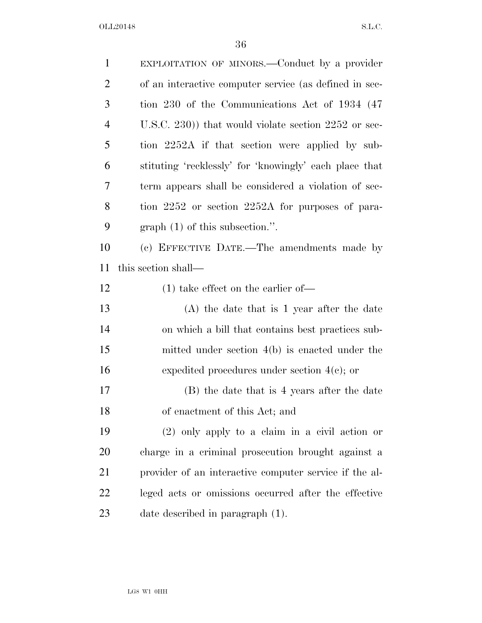| $\mathbf{1}$   | EXPLOITATION OF MINORS.—Conduct by a provider          |
|----------------|--------------------------------------------------------|
| $\overline{c}$ | of an interactive computer service (as defined in sec- |
| 3              | tion 230 of the Communications Act of 1934 (47)        |
| $\overline{4}$ | U.S.C. 230)) that would violate section $2252$ or sec- |
| 5              | tion 2252A if that section were applied by sub-        |
| 6              | stituting 'recklessly' for 'knowingly' each place that |
| 7              | term appears shall be considered a violation of sec-   |
| 8              | tion 2252 or section 2252A for purposes of para-       |
| 9              | graph $(1)$ of this subsection.".                      |
| 10             | (c) EFFECTIVE DATE.—The amendments made by             |
| 11             | this section shall—                                    |
| 12             | $(1)$ take effect on the earlier of-                   |
| 13             | $(A)$ the date that is 1 year after the date           |
| 14             | on which a bill that contains best practices sub-      |
| 15             | mitted under section $4(b)$ is enacted under the       |
| 16             | expedited procedures under section $4(e)$ ; or         |
| 17             | (B) the date that is 4 years after the date            |
| 18             | of enactment of this Act; and                          |
| 19             | $(2)$ only apply to a claim in a civil action or       |
| 20             | charge in a criminal prosecution brought against a     |
| 21             | provider of an interactive computer service if the al- |
| 22             | leged acts or omissions occurred after the effective   |
| 23             | date described in paragraph (1).                       |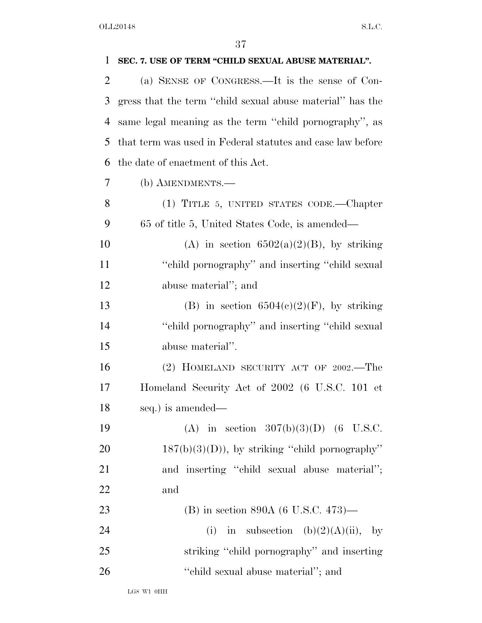| 1  | SEC. 7. USE OF TERM "CHILD SEXUAL ABUSE MATERIAL".         |
|----|------------------------------------------------------------|
| 2  | (a) SENSE OF CONGRESS.—It is the sense of Con-             |
| 3  | gress that the term "child sexual abuse material" has the  |
| 4  | same legal meaning as the term "child pornography", as     |
| 5  | that term was used in Federal statutes and case law before |
| 6  | the date of enactment of this Act.                         |
| 7  | (b) AMENDMENTS.—                                           |
| 8  | (1) TITLE 5, UNITED STATES CODE.—Chapter                   |
| 9  | 65 of title 5, United States Code, is amended—             |
| 10 | (A) in section $6502(a)(2)(B)$ , by striking               |
| 11 | "child pornography" and inserting "child sexual"           |
| 12 | abuse material"; and                                       |
| 13 | (B) in section $6504(c)(2)(F)$ , by striking               |
| 14 | "child pornography" and inserting "child sexual"           |
| 15 | abuse material".                                           |
| 16 | (2) HOMELAND SECURITY ACT OF 2002.—The                     |
| 17 | Homeland Security Act of 2002 (6 U.S.C. 101 et             |
| 18 | seq.) is amended—                                          |
| 19 | (A) in section $307(b)(3)(D)$ (6 U.S.C.                    |
| 20 | $187(b)(3)(D)$ , by striking "child pornography"           |
| 21 | and inserting "child sexual abuse material";               |
| 22 | and                                                        |
| 23 | (B) in section 890A (6 U.S.C. 473)—                        |
| 24 | in subsection (b)(2)(A)(ii), by<br>(i)                     |
| 25 | striking "child pornography" and inserting                 |
| 26 | "child sexual abuse material"; and                         |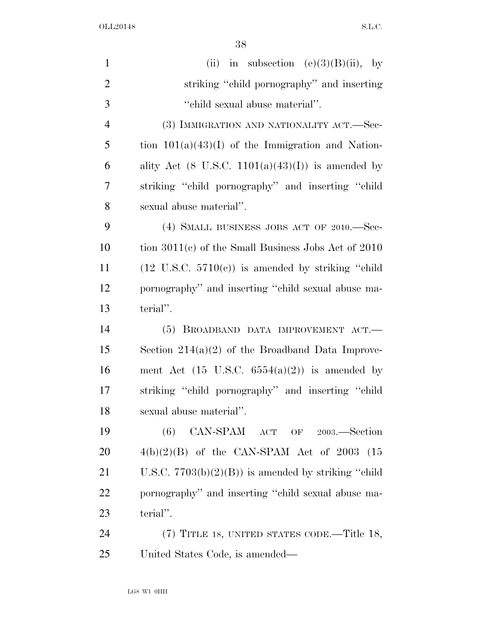| $\mathbf{1}$   | (ii) in subsection $(e)(3)(B)(ii)$ , by                              |
|----------------|----------------------------------------------------------------------|
| $\overline{2}$ | striking "child pornography" and inserting                           |
| 3              | "child sexual abuse material".                                       |
| $\overline{4}$ | (3) IMMIGRATION AND NATIONALITY ACT.—Sec-                            |
| 5              | tion $101(a)(43)(I)$ of the Immigration and Nation-                  |
| 6              | ality Act $(8 \text{ U.S.C. } 1101(a)(43)(I))$ is amended by         |
| 7              | striking "child pornography" and inserting "child                    |
| 8              | sexual abuse material".                                              |
| 9              | (4) SMALL BUSINESS JOBS ACT OF 2010.-Sec-                            |
| 10             | tion $3011(c)$ of the Small Business Jobs Act of 2010                |
| 11             | $(12 \text{ U.S.C. } 5710(\text{c}))$ is amended by striking "child" |
| 12             | pornography" and inserting "child sexual abuse ma-                   |
| 13             | terial".                                                             |
| 14             | (5) BROADBAND DATA IMPROVEMENT ACT.-                                 |
| 15             | Section $214(a)(2)$ of the Broadband Data Improve-                   |
| 16             | ment Act $(15 \text{ U.S.C. } 6554(a)(2))$ is amended by             |
| 17             | striking "child pornography" and inserting "child                    |
| 18             | sexual abuse material".                                              |
| 19             | CAN-SPAM ACT OF 2003.—Section<br>(6)                                 |
| 20             | $4(b)(2)(B)$ of the CAN-SPAM Act of 2003 (15                         |
| 21             | U.S.C. $7703(b)(2)(B)$ is amended by striking "child"                |
| 22             | pornography" and inserting "child sexual abuse ma-                   |
| 23             | terial".                                                             |
| 24             | (7) TITLE 18, UNITED STATES CODE.—Title 18,                          |
| 25             | United States Code, is amended—                                      |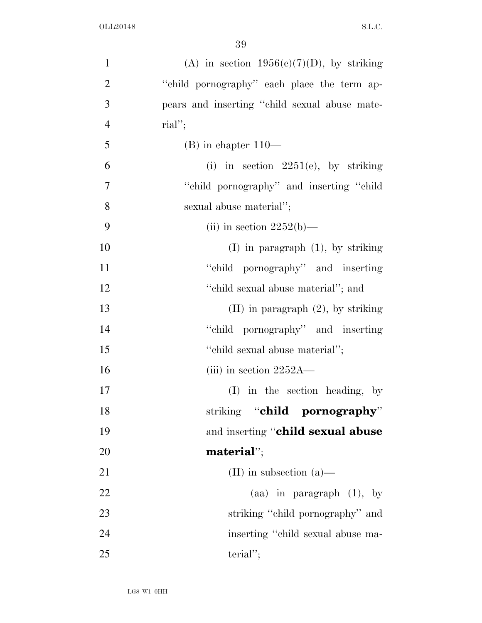| $\mathbf{1}$   | (A) in section $1956(c)(7)(D)$ , by striking  |
|----------------|-----------------------------------------------|
| $\overline{2}$ | "child pornography" each place the term ap-   |
| 3              | pears and inserting "child sexual abuse mate- |
| $\overline{4}$ | $\text{rial}''$ ;                             |
| 5              | $(B)$ in chapter $110-$                       |
| 6              | (i) in section $2251(e)$ , by striking        |
| $\overline{7}$ | "child pornography" and inserting "child"     |
| 8              | sexual abuse material";                       |
| 9              | (ii) in section $2252(b)$ —                   |
| 10             | $(I)$ in paragraph $(1)$ , by striking        |
| 11             | "child pornography" and inserting             |
| 12             | "child sexual abuse material"; and            |
| 13             | $(II)$ in paragraph $(2)$ , by striking       |
| 14             | "child pornography" and inserting             |
| 15             | "child sexual abuse material";                |
| 16             | (iii) in section $2252A$ —                    |
| 17             | (I) in the section heading, by                |
| 18             | striking "child pornography"                  |
| 19             | and inserting "child sexual abuse             |
| 20             | material";                                    |
| 21             | (II) in subsection $(a)$ —                    |
| 22             | (aa) in paragraph $(1)$ , by                  |
| 23             | striking "child pornography" and              |
| 24             | inserting "child sexual abuse ma-             |
| 25             | $\text{terial}''$ ;                           |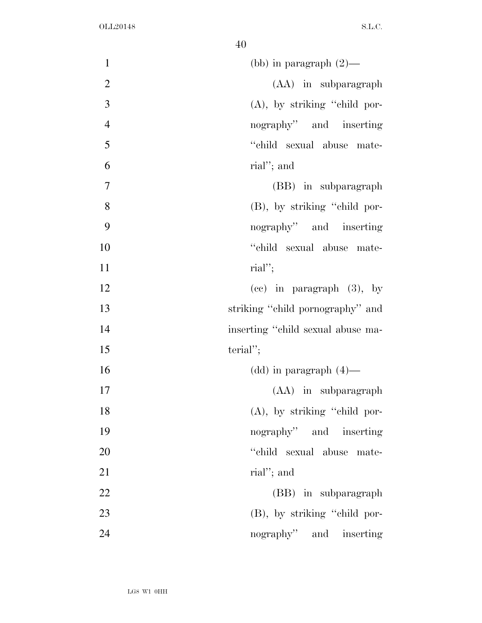| $\mathbf{1}$   | (bb) in paragraph $(2)$ —         |
|----------------|-----------------------------------|
| $\mathbf{2}$   | (AA) in subparagraph              |
| 3              | $(A)$ , by striking "child por-   |
| $\overline{4}$ | nography" and inserting           |
| 5              | "child sexual abuse mate-         |
| 6              | rial"; and                        |
| $\tau$         | (BB) in subparagraph              |
| 8              | (B), by striking "child por-      |
| 9              | nography" and inserting           |
| 10             | "child sexual abuse mate-         |
| 11             | $\text{rial}''$ ;                 |
| 12             | $(ce)$ in paragraph $(3)$ , by    |
| 13             | striking "child pornography" and  |
| 14             | inserting "child sexual abuse ma- |
| 15             | $\text{terial}''$ ;               |
| 16             | $(dd)$ in paragraph $(4)$ —       |
| 17             | (AA) in subparagraph              |
| 18             | $(A)$ , by striking "child por-   |
| 19             | nography" and inserting           |
| 20             | "child sexual abuse mate-         |
| 21             | rial"; and                        |
| 22             | (BB) in subparagraph              |
| 23             | (B), by striking "child por-      |
| 24             | nography" and inserting           |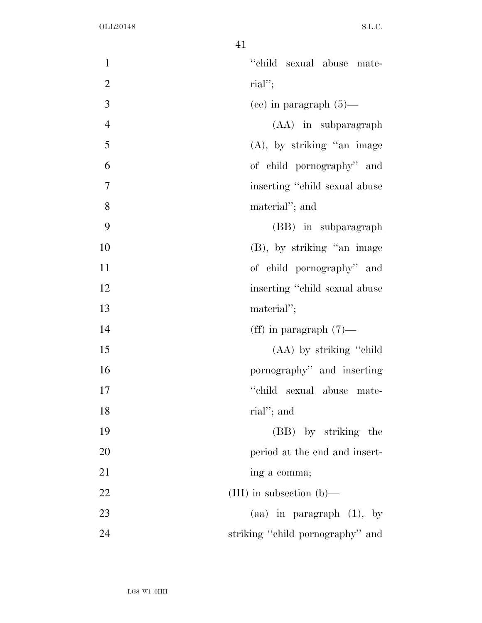| $\mathbf{1}$   | "child sexual abuse mate-        |
|----------------|----------------------------------|
| $\overline{2}$ | $\text{rial}''$                  |
| 3              | (ee) in paragraph $(5)$ —        |
| $\overline{4}$ | (AA) in subparagraph             |
| 5              | $(A)$ , by striking "an image    |
| 6              | of child pornography" and        |
| 7              | inserting "child sexual abuse"   |
| 8              | material"; and                   |
| 9              | (BB) in subparagraph             |
| 10             | (B), by striking "an image       |
| 11             | of child pornography" and        |
| 12             | inserting "child sexual abuse"   |
| 13             | material";                       |
| 14             | (ff) in paragraph $(7)$ —        |
| 15             | (AA) by striking "child          |
| 16             | pornography" and inserting       |
| 17             | "child sexual abuse mate-        |
| 18             | rial"; and                       |
| 19             | (BB) by striking the             |
| 20             | period at the end and insert-    |
| 21             | ing a comma;                     |
| 22             | (III) in subsection (b)—         |
| 23             | (aa) in paragraph $(1)$ , by     |
| 24             | striking "child pornography" and |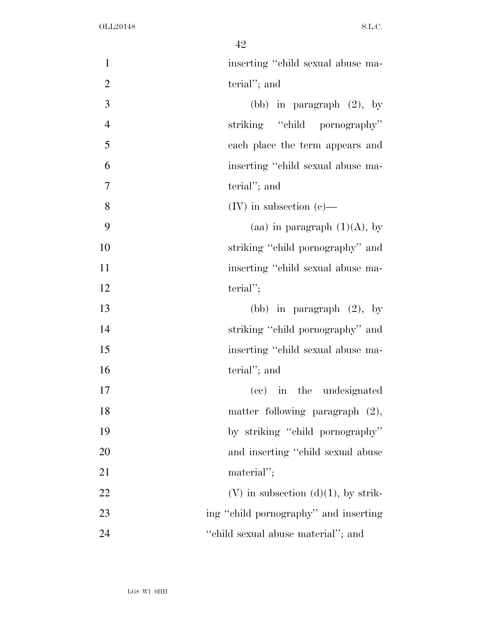| $\mathbf{1}$   | inserting "child sexual abuse ma-        |
|----------------|------------------------------------------|
| $\mathbf{2}$   | terial"; and                             |
| $\overline{3}$ | (bb) in paragraph $(2)$ , by             |
| $\overline{4}$ | striking "child pornography"             |
| 5              | each place the term appears and          |
| 6              | inserting "child sexual abuse ma-        |
| $\overline{7}$ | terial"; and                             |
| 8              | $(IV)$ in subsection $(e)$ —             |
| 9              | (aa) in paragraph $(1)(A)$ , by          |
| 10             | striking "child pornography" and         |
| 11             | inserting "child sexual abuse ma-        |
| 12             | $\text{terial}''$ ;                      |
| 13             | (bb) in paragraph $(2)$ , by             |
| 14             | striking "child pornography" and         |
| 15             | inserting "child sexual abuse ma-        |
| 16             | terial"; and                             |
| 17             | (cc) in the undesignated                 |
| 18             | matter following paragraph $(2)$ ,       |
| 19             | by striking "child pornography"          |
| 20             | and inserting "child sexual abuse"       |
| 21             | material";                               |
| 22             | $(V)$ in subsection $(d)(1)$ , by strik- |
| 23             | ing "child pornography" and inserting    |
| 24             | "child sexual abuse material"; and       |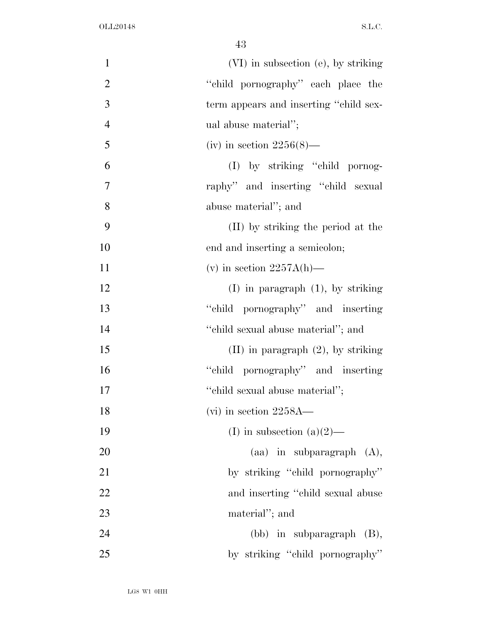| $\mathbf{1}$   | (VI) in subsection (e), by striking     |
|----------------|-----------------------------------------|
| $\mathbf{2}$   | "child pornography" each place the      |
| 3              | term appears and inserting "child sex-  |
| $\overline{4}$ | ual abuse material";                    |
| 5              | (iv) in section $2256(8)$ —             |
| 6              | (I) by striking "child pornog-          |
| $\tau$         | raphy" and inserting "child sexual      |
| 8              | abuse material"; and                    |
| 9              | (II) by striking the period at the      |
| 10             | end and inserting a semicolon;          |
| 11             | (v) in section $2257A(h)$ —             |
| 12             | $(I)$ in paragraph $(1)$ , by striking  |
| 13             | "child pornography" and inserting       |
| 14             | "child sexual abuse material"; and      |
| 15             | $(II)$ in paragraph $(2)$ , by striking |
| 16             | "child pornography" and inserting       |
| 17             | "child sexual abuse material";          |
| 18             | $(vi)$ in section 2258A—                |
| 19             | (I) in subsection (a) $(2)$ —           |
| 20             | $(aa)$ in subparagraph $(A)$ ,          |
| 21             | by striking "child pornography"         |
| 22             | and inserting "child sexual abuse"      |
| 23             | material"; and                          |
| 24             | $(bb)$ in subparagraph $(B)$ ,          |
| 25             | by striking "child pornography"         |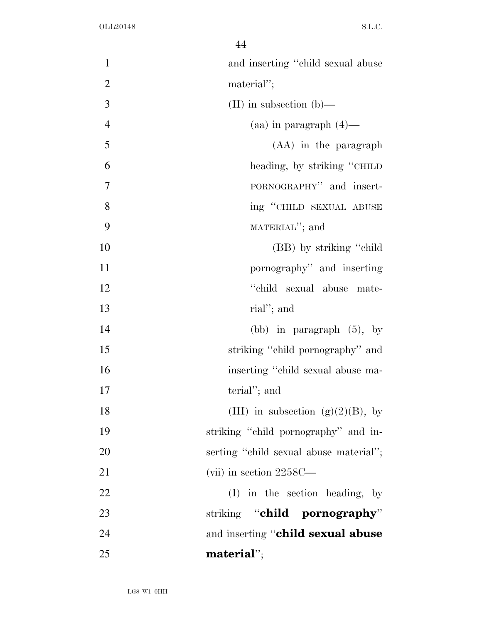| $\mathbf{1}$   | and inserting "child sexual abuse      |
|----------------|----------------------------------------|
| $\overline{2}$ | material";                             |
| 3              | (II) in subsection $(b)$ —             |
| $\overline{4}$ | $(aa)$ in paragraph $(4)$ —            |
| 5              | (AA) in the paragraph                  |
| 6              | heading, by striking "CHILD"           |
| 7              | PORNOGRAPHY" and insert-               |
| 8              | ing "CHILD SEXUAL ABUSE                |
| 9              | MATERIAL"; and                         |
| 10             | (BB) by striking "child"               |
| 11             | pornography" and inserting             |
| 12             | "child sexual abuse mate-              |
| 13             | rial"; and                             |
| 14             | (bb) in paragraph $(5)$ , by           |
| 15             | striking "child pornography" and       |
| 16             | inserting "child sexual abuse ma-      |
| 17             | terial"; and                           |
| 18             | (III) in subsection (g)(2)(B), by      |
| 19             | striking "child pornography" and in-   |
| 20             | serting "child sexual abuse material"; |
| 21             | (vii) in section $2258C$ —             |
| 22             | (I) in the section heading, by         |
| 23             | striking "child pornography"           |
| 24             | and inserting "child sexual abuse      |
| 25             | $\blacksquare$ material";              |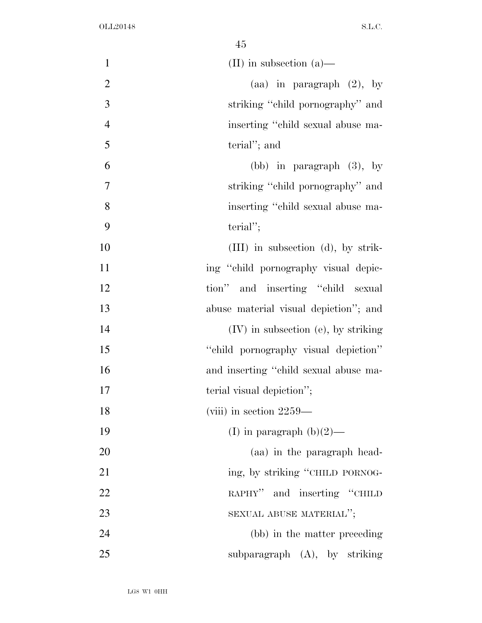| $\mathbf{1}$   | (II) in subsection $(a)$ —            |
|----------------|---------------------------------------|
| $\overline{2}$ | (aa) in paragraph $(2)$ , by          |
| 3              | striking "child pornography" and      |
| $\overline{4}$ | inserting "child sexual abuse ma-     |
| 5              | terial"; and                          |
| 6              | (bb) in paragraph $(3)$ , by          |
| $\overline{7}$ | striking "child pornography" and      |
| 8              | inserting "child sexual abuse ma-     |
| 9              | $\text{terial}''$ ;                   |
| 10             | $(III)$ in subsection (d), by strik-  |
| 11             | ing "child pornography visual depic-  |
| 12             | tion" and inserting "child sexual     |
| 13             | abuse material visual depiction"; and |
| 14             | $(IV)$ in subsection (e), by striking |
| 15             | "child pornography visual depiction"  |
| 16             | and inserting "child sexual abuse ma- |
| 17             | terial visual depiction";             |
| 18             | (viii) in section $2259-$             |
| 19             | (I) in paragraph $(b)(2)$ —           |
| 20             | (aa) in the paragraph head-           |
| 21             | ing, by striking "CHILD PORNOG-       |
| 22             | RAPHY" and inserting "CHILD           |
| 23             | SEXUAL ABUSE MATERIAL";               |
| 24             | (bb) in the matter preceding          |
| 25             | subparagraph $(A)$ , by striking      |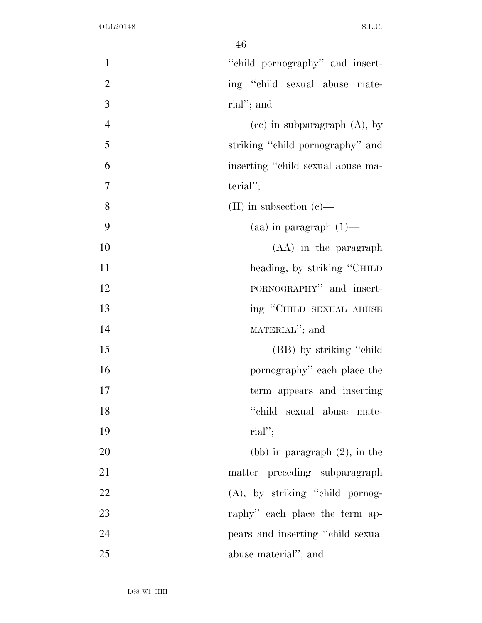| $\mathbf{1}$   | "child pornography" and insert-    |
|----------------|------------------------------------|
| $\mathbf{2}$   | ing "child sexual abuse mate-      |
| $\overline{3}$ | rial"; and                         |
| $\overline{4}$ | $(ce)$ in subparagraph $(A)$ , by  |
| 5              | striking "child pornography" and   |
| 6              | inserting "child sexual abuse ma-  |
| 7              | $\text{terial}''$ ;                |
| 8              | (II) in subsection $(e)$ —         |
| 9              | $(aa)$ in paragraph $(1)$ —        |
| 10             | (AA) in the paragraph              |
| 11             | heading, by striking "CHILD"       |
| 12             | PORNOGRAPHY" and insert-           |
| 13             | ing "CHILD SEXUAL ABUSE            |
| 14             | MATERIAL"; and                     |
| 15             | (BB) by striking "child"           |
| 16             | pornography" each place the        |
| 17             | term appears and inserting         |
| 18             | "child sexual abuse mate-          |
| 19             | $\text{rial}''$ ;                  |
| 20             | (bb) in paragraph $(2)$ , in the   |
| 21             | matter preceding subparagraph      |
| 22             | (A), by striking "child pornog-    |
| 23             | raphy" each place the term ap-     |
| 24             | pears and inserting "child sexual" |
| 25             | abuse material"; and               |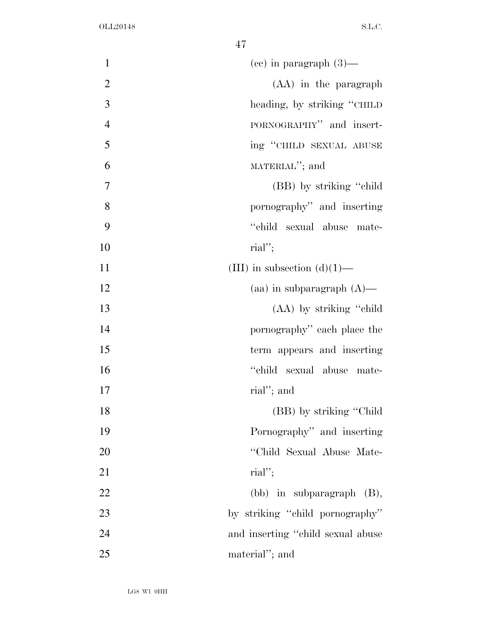| $\mathbf{1}$   | $(ce)$ in paragraph $(3)$ —       |
|----------------|-----------------------------------|
| $\mathbf{2}$   | (AA) in the paragraph             |
| 3              | heading, by striking "CHILD"      |
| $\overline{4}$ | PORNOGRAPHY" and insert-          |
| 5              | ing "CHILD SEXUAL ABUSE           |
| 6              | MATERIAL"; and                    |
| 7              | (BB) by striking "child"          |
| 8              | pornography" and inserting        |
| 9              | "child sexual abuse mate-         |
| 10             | $\text{rial}''$ ;                 |
| 11             | (III) in subsection $(d)(1)$ —    |
| 12             | (aa) in subparagraph $(A)$ —      |
| 13             | (AA) by striking "child"          |
| 14             | pornography" each place the       |
| 15             | term appears and inserting        |
| 16             | "child sexual abuse mate-         |
| 17             | rial"; and                        |
| 18             | (BB) by striking "Child"          |
| 19             | Pornography" and inserting        |
| 20             | "Child Sexual Abuse Mate-         |
| 21             | $\text{rial}''$ ;                 |
| 22             | $(bb)$ in subparagraph $(B)$ ,    |
| 23             | by striking "child pornography"   |
| 24             | and inserting "child sexual abuse |
| 25             | material"; and                    |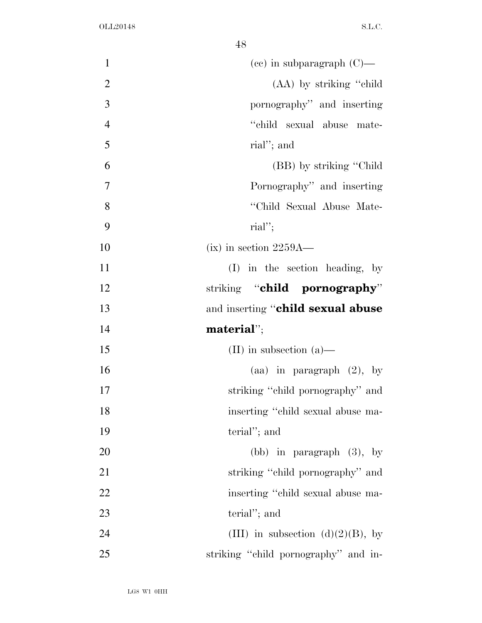| $\mathbf{1}$   | $(ce)$ in subparagraph $(C)$ —       |
|----------------|--------------------------------------|
| $\overline{2}$ | (AA) by striking "child"             |
| $\overline{3}$ | pornography" and inserting           |
| $\overline{4}$ | "child sexual abuse mate-            |
| 5              | rial"; and                           |
| 6              | (BB) by striking "Child"             |
| 7              | Pornography" and inserting           |
| 8              | "Child Sexual Abuse Mate-            |
| 9              | $\text{rial}''$ ;                    |
| 10             | $(ix)$ in section 2259A—             |
| 11             | $(I)$ in the section heading, by     |
| 12             | striking "child pornography"         |
| 13             | and inserting "child sexual abuse    |
| 14             | $\blacksquare$ material";            |
| 15             | (II) in subsection $(a)$ —           |
| 16             | (aa) in paragraph $(2)$ , by         |
| 17             | striking "child pornography" and     |
| 18             | inserting "child sexual abuse ma-    |
| 19             | terial"; and                         |
| 20             | (bb) in paragraph $(3)$ , by         |
| 21             | striking "child pornography" and     |
| 22             | inserting "child sexual abuse ma-    |
| 23             | terial"; and                         |
| 24             | (III) in subsection (d)(2)(B), by    |
| 25             | striking "child pornography" and in- |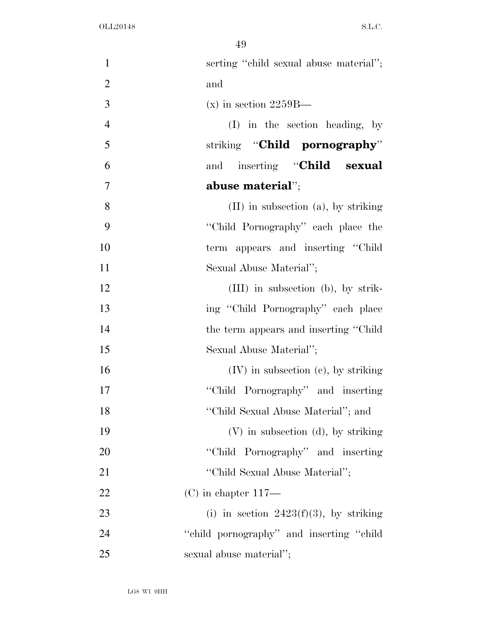| $\mathbf{1}$   | serting "child sexual abuse material";    |
|----------------|-------------------------------------------|
| $\overline{2}$ | and                                       |
| 3              | $(x)$ in section 2259B—                   |
| $\overline{4}$ | $(I)$ in the section heading, by          |
| 5              | striking " <b>Child pornography</b> "     |
| 6              | inserting "Child sexual<br>and            |
| $\overline{7}$ | abuse material";                          |
| 8              | $(II)$ in subsection $(a)$ , by striking  |
| 9              | "Child Pornography" each place the        |
| 10             | term appears and inserting "Child"        |
| 11             | Sexual Abuse Material";                   |
| 12             | $(III)$ in subsection (b), by strik-      |
| 13             | ing "Child Pornography" each place        |
| 14             | the term appears and inserting "Child"    |
| 15             | Sexual Abuse Material";                   |
| 16             | $(IV)$ in subsection $(e)$ , by striking  |
| 17             | "Child Pornography" and inserting         |
| 18             | "Child Sexual Abuse Material"; and        |
| 19             | $(V)$ in subsection $(d)$ , by striking   |
| 20             | "Child Pornography" and inserting         |
| 21             | "Child Sexual Abuse Material";            |
| 22             | $(C)$ in chapter 117—                     |
| 23             | (i) in section $2423(f)(3)$ , by striking |
| 24             | "child pornography" and inserting "child" |
| 25             | sexual abuse material";                   |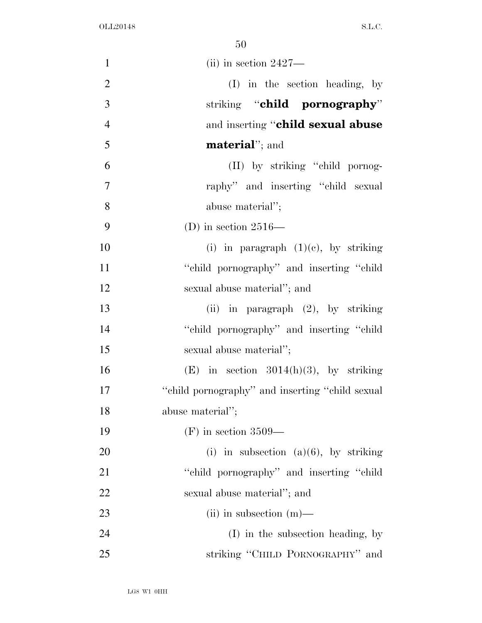| $\mathbf{1}$   | $(iii)$ in section 2427—                         |
|----------------|--------------------------------------------------|
| $\overline{2}$ | (I) in the section heading, by                   |
| 3              | striking "child pornography"                     |
| $\overline{4}$ | and inserting "child sexual abuse                |
| 5              | <b>material</b> "; and                           |
| 6              | (II) by striking "child pornog-                  |
| $\overline{7}$ | raphy" and inserting "child sexual               |
| 8              | abuse material";                                 |
| 9              | (D) in section $2516-$                           |
| 10             | (i) in paragraph $(1)(e)$ , by striking          |
| 11             | "child pornography" and inserting "child"        |
| 12             | sexual abuse material"; and                      |
| 13             | (ii) in paragraph $(2)$ , by striking            |
| 14             | "child pornography" and inserting "child"        |
| 15             | sexual abuse material";                          |
| 16             | (E) in section $3014(h)(3)$ , by striking        |
| 17             | "child pornography" and inserting "child sexual" |
| 18             | abuse material";                                 |
| 19             | $(F)$ in section 3509—                           |
| 20             | (i) in subsection (a)(6), by striking            |
| 21             | "child pornography" and inserting "child         |
| 22             | sexual abuse material"; and                      |
| 23             | (ii) in subsection $(m)$ —                       |
| 24             | (I) in the subsection heading, by                |
| 25             | striking "CHILD PORNOGRAPHY" and                 |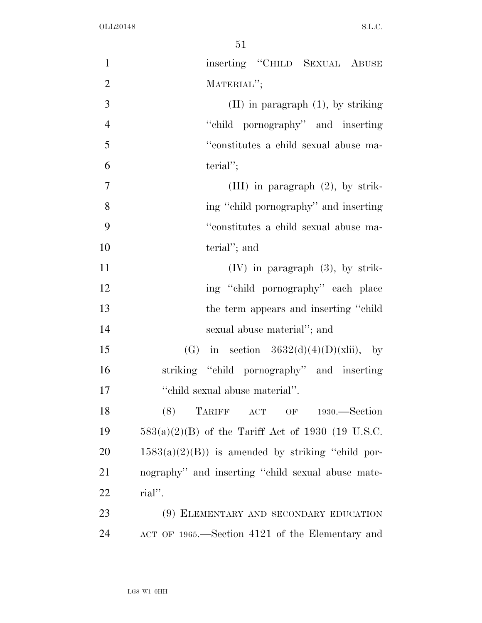| $\mathbf{1}$   | inserting "CHILD SEXUAL ABUSE                       |
|----------------|-----------------------------------------------------|
| $\mathfrak{2}$ | MATERIAL";                                          |
| 3              | $(II)$ in paragraph $(1)$ , by striking             |
| $\overline{4}$ | "child pornography" and inserting                   |
| 5              | "constitutes a child sexual abuse ma-               |
| 6              | $\text{terial}''$ ;                                 |
| 7              | (III) in paragraph $(2)$ , by strik-                |
| 8              | ing "child pornography" and inserting               |
| 9              | "constitutes a child sexual abuse ma-               |
| 10             | terial"; and                                        |
| 11             | $(IV)$ in paragraph $(3)$ , by strik-               |
| 12             | ing "child pornography" each place                  |
| 13             | the term appears and inserting "child"              |
| 14             | sexual abuse material"; and                         |
| 15             | (G) in section $3632(d)(4)(D)(xiii)$ , by           |
| 16             | striking "child pornography" and inserting          |
| 17             | "child sexual abuse material".                      |
| 18             | TARIFF ACT OF<br>(8)<br>$1930. - Section$           |
| 19             | $583(a)(2)(B)$ of the Tariff Act of 1930 (19 U.S.C. |
| 20             | $1583(a)(2)(B)$ is amended by striking "child por-  |
| 21             | nography" and inserting "child sexual abuse mate-   |
| 22             | rial".                                              |
| 23             | (9) ELEMENTARY AND SECONDARY EDUCATION              |
| 24             | ACT OF 1965.—Section 4121 of the Elementary and     |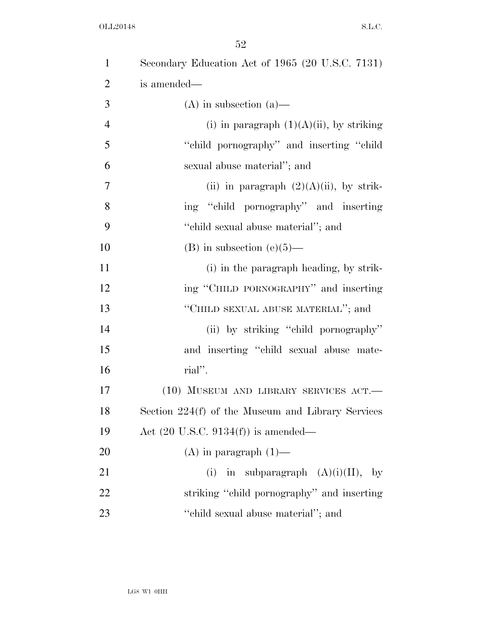| $\mathbf{1}$   | Secondary Education Act of 1965 (20 U.S.C. 7131)  |
|----------------|---------------------------------------------------|
| $\overline{2}$ | is amended—                                       |
| 3              | $(A)$ in subsection $(a)$ —                       |
| $\overline{4}$ | (i) in paragraph $(1)(A)(ii)$ , by striking       |
| 5              | "child pornography" and inserting "child          |
| 6              | sexual abuse material"; and                       |
| 7              | (ii) in paragraph $(2)(A)(ii)$ , by strik-        |
| 8              | ing "child pornography" and inserting             |
| 9              | "child sexual abuse material"; and                |
| 10             | $(B)$ in subsection $(e)(5)$ —                    |
| 11             | (i) in the paragraph heading, by strik-           |
| 12             | ing "CHILD PORNOGRAPHY" and inserting             |
| 13             | "CHILD SEXUAL ABUSE MATERIAL"; and                |
| 14             | (ii) by striking "child pornography"              |
| 15             | and inserting "child sexual abuse mate-           |
| 16             | rial".                                            |
| 17             | (10) MUSEUM AND LIBRARY SERVICES ACT.-            |
| 18             | Section 224(f) of the Museum and Library Services |
| 19             | Act $(20 \text{ U.S.C. } 9134(f))$ is amended—    |
| 20             | $(A)$ in paragraph $(1)$ —                        |
| 21             | in subparagraph $(A)(i)(II)$ , by<br>(i)          |
| 22             | striking "child pornography" and inserting        |
| 23             | "child sexual abuse material"; and                |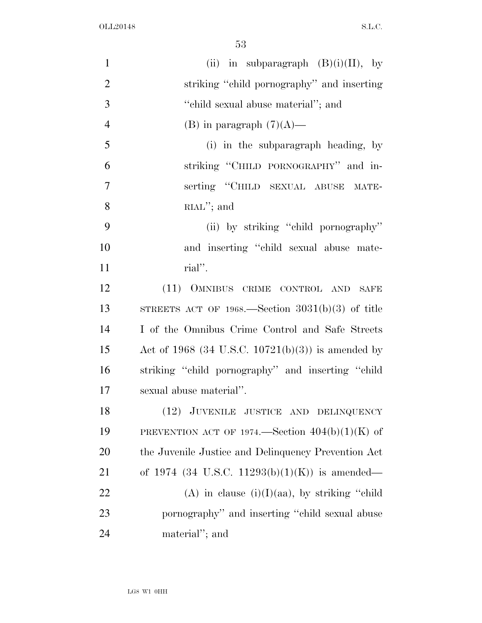| $\mathbf{1}$   | (ii) in subparagraph $(B)(i)(II)$ , by              |
|----------------|-----------------------------------------------------|
| $\overline{2}$ | striking "child pornography" and inserting          |
| 3              | "child sexual abuse material"; and                  |
| $\overline{4}$ | (B) in paragraph $(7)(A)$ —                         |
| 5              | (i) in the subparagraph heading, by                 |
| 6              | striking "CHILD PORNOGRAPHY" and in-                |
| $\overline{7}$ | serting "CHILD SEXUAL ABUSE MATE-                   |
| 8              | $RLM$ "; and                                        |
| 9              | (ii) by striking "child pornography"                |
| 10             | and inserting "child sexual abuse mate-             |
| 11             | rial".                                              |
| 12             | (11) OMNIBUS CRIME CONTROL AND SAFE                 |
| 13             | STREETS ACT OF 1968.—Section $3031(b)(3)$ of title  |
| 14             | I of the Omnibus Crime Control and Safe Streets     |
| 15             | Act of 1968 (34 U.S.C. 10721(b)(3)) is amended by   |
| 16             | striking "child pornography" and inserting "child   |
| 17             | sexual abuse material".                             |
| 18             | (12) JUVENILE JUSTICE AND DELINQUENCY               |
| 19             | PREVENTION ACT OF 1974.—Section $404(b)(1)(K)$ of   |
| 20             | the Juvenile Justice and Delinquency Prevention Act |
| 21             | of 1974 (34 U.S.C. 11293(b)(1)(K)) is amended—      |
| 22             | (A) in clause $(i)(I)(aa)$ , by striking "child"    |
| 23             | pornography" and inserting "child sexual abuse      |
| 24             | material"; and                                      |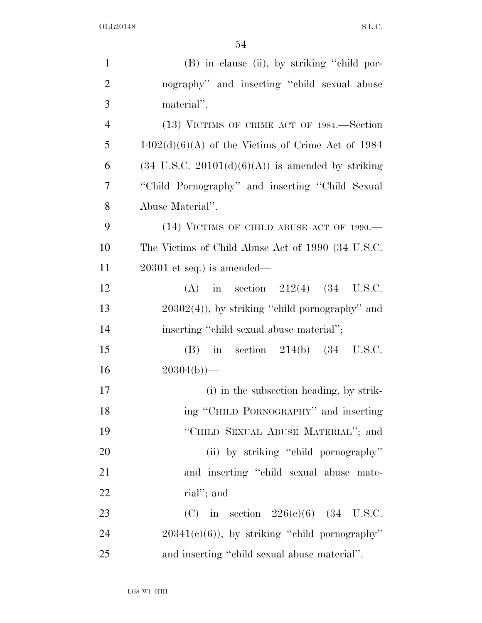| $\mathbf{1}$   | (B) in clause (ii), by striking "child por-                  |
|----------------|--------------------------------------------------------------|
| $\overline{2}$ | nography" and inserting "child sexual abuse                  |
| 3              | material".                                                   |
| $\overline{4}$ | (13) VICTIMS OF CRIME ACT OF 1984.—Section                   |
| 5              | $1402(d)(6)(A)$ of the Victims of Crime Act of 1984          |
| 6              | $(34 \text{ U.S.C. } 20101(d)(6)(A))$ is amended by striking |
| 7              | "Child Pornography" and inserting "Child Sexual"             |
| 8              | Abuse Material".                                             |
| 9              | (14) VICTIMS OF CHILD ABUSE ACT OF 1990.-                    |
| 10             | The Victims of Child Abuse Act of 1990 (34 U.S.C.            |
| 11             | $20301$ et seq.) is amended—                                 |
| 12             | in section $212(4)$ $(34 \text{ U.S.C.})$<br>(A)             |
| 13             | $20302(4)$ , by striking "child pornography" and             |
| 14             | inserting "child sexual abuse material";                     |
| 15             | in section $214(b)$ $(34 \text{ U.S.C.})$<br>(B)             |
| 16             | $20304(b)$ )—                                                |
| 17             | (i) in the subsection heading, by strik-                     |
| 18             | ing "CHILD PORNOGRAPHY" and inserting                        |
| 19             | "CHILD SEXUAL ABUSE MATERIAL"; and                           |
| 20             | (ii) by striking "child pornography"                         |
| 21             | and inserting "child sexual abuse mate-                      |
| 22             | rial"; and                                                   |
| 23             | (C) in section $226(c)(6)$ (34 U.S.C.                        |
| 24             | $20341(e)(6)$ , by striking "child pornography"              |
| 25             | and inserting "child sexual abuse material".                 |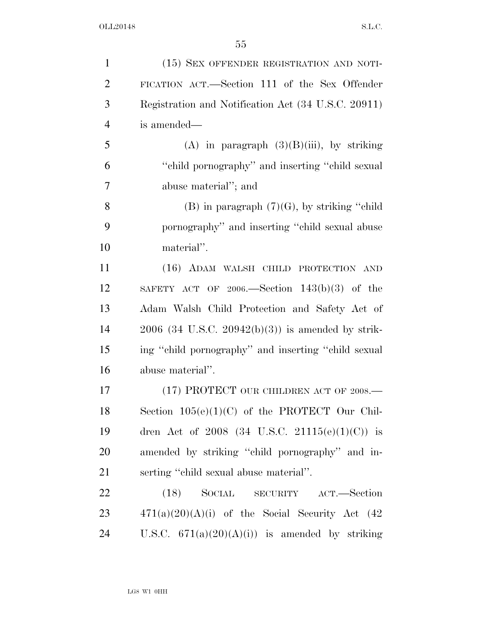| $\mathbf{1}$   | (15) SEX OFFENDER REGISTRATION AND NOTI-               |
|----------------|--------------------------------------------------------|
| $\overline{2}$ | FICATION ACT.—Section 111 of the Sex Offender          |
| 3              | Registration and Notification Act (34 U.S.C. 20911)    |
| $\overline{4}$ | is amended—                                            |
| 5              | (A) in paragraph $(3)(B)(iii)$ , by striking           |
| 6              | "child pornography" and inserting "child sexual"       |
| 7              | abuse material"; and                                   |
| 8              | $(B)$ in paragraph $(7)(G)$ , by striking "child"      |
| 9              | pornography" and inserting "child sexual abuse         |
| 10             | material".                                             |
| 11             | (16) ADAM WALSH CHILD PROTECTION AND                   |
| 12             | SAFETY ACT OF 2006.—Section $143(b)(3)$ of the         |
| 13             | Adam Walsh Child Protection and Safety Act of          |
| 14             | $2006$ (34 U.S.C. $20942(b)(3)$ ) is amended by strik- |
| 15             | ing "child pornography" and inserting "child sexual    |
| 16             | abuse material".                                       |
| 17             | (17) PROTECT OUR CHILDREN ACT OF $2008$ .              |
| 18             | Section $105(e)(1)(C)$ of the PROTECT Our Chil-        |
| 19             | dren Act of 2008 (34 U.S.C. 21115(e)(1)(C)) is         |
| 20             | amended by striking "child pornography" and in-        |
| 21             | serting "child sexual abuse material".                 |
| 22             | $(18)$ SOCIAL SECURITY<br>ACT.—Section                 |
| 23             | $471(a)(20)(A)(i)$ of the Social Security Act (42)     |
| 24             | U.S.C. $671(a)(20)(A)(i)$ is amended by striking       |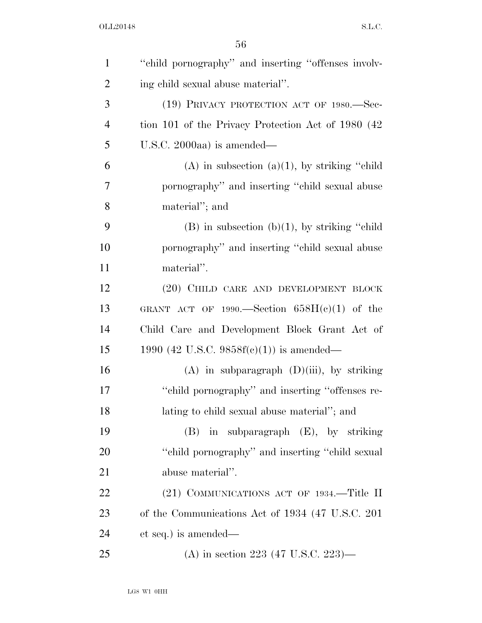| $\mathbf{1}$   | "child pornography" and inserting "offenses involv- |
|----------------|-----------------------------------------------------|
| $\overline{2}$ | ing child sexual abuse material".                   |
| 3              | (19) PRIVACY PROTECTION ACT OF 1980.-Sec-           |
| $\overline{4}$ | tion 101 of the Privacy Protection Act of 1980 (42) |
| 5              | U.S.C. 2000aa) is amended—                          |
| 6              | $(A)$ in subsection $(a)(1)$ , by striking "child"  |
| 7              | pornography" and inserting "child sexual abuse      |
| 8              | material"; and                                      |
| 9              | $(B)$ in subsection $(b)(1)$ , by striking "child"  |
| 10             | pornography" and inserting "child sexual abuse      |
| 11             | material".                                          |
| 12             | (20) CHILD CARE AND DEVELOPMENT BLOCK               |
| 13             | GRANT ACT OF 1990.—Section $658H(c)(1)$ of the      |
| 14             | Child Care and Development Block Grant Act of       |
| 15             | 1990 (42 U.S.C. 9858 $f(c)(1)$ ) is amended—        |
| 16             | $(A)$ in subparagraph $(D)(iii)$ , by striking      |
| 17             | "child pornography" and inserting "offenses re-     |
| 18             | lating to child sexual abuse material"; and         |
| 19             | (B) in subparagraph (E), by striking                |
| 20             | "child pornography" and inserting "child sexual     |
| 21             | abuse material".                                    |
| 22             | (21) COMMUNICATIONS ACT OF 1934.—Title II           |
| 23             | of the Communications Act of 1934 (47 U.S.C. 201)   |
| 24             | et seq.) is amended—                                |
| 25             | (A) in section 223 (47 U.S.C. 223)—                 |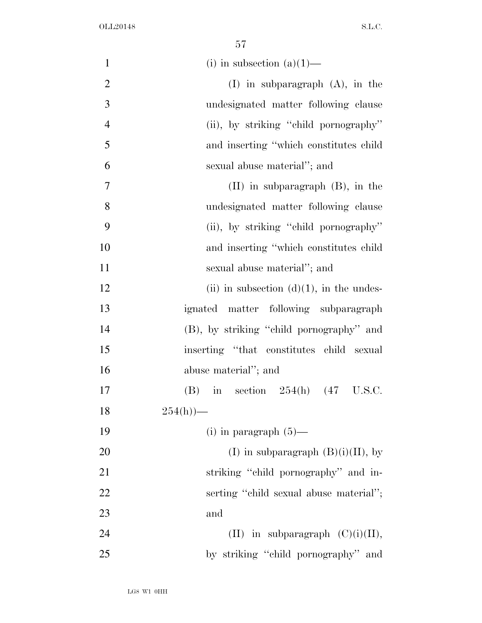| $\mathbf{1}$   | (i) in subsection $(a)(1)$ —                     |
|----------------|--------------------------------------------------|
| $\overline{2}$ | $(I)$ in subparagraph $(A)$ , in the             |
| 3              | undesignated matter following clause             |
| $\overline{4}$ | (ii), by striking "child pornography"            |
| 5              | and inserting "which constitutes child           |
| 6              | sexual abuse material"; and                      |
| $\overline{7}$ | $(II)$ in subparagraph $(B)$ , in the            |
| 8              | undesignated matter following clause             |
| 9              | (ii), by striking "child pornography"            |
| 10             | and inserting "which constitutes child           |
| 11             | sexual abuse material"; and                      |
| 12             | (ii) in subsection $(d)(1)$ , in the undes-      |
| 13             | ignated matter following subparagraph            |
| 14             | (B), by striking "child pornography" and         |
| 15             | inserting "that constitutes child sexual         |
| 16             | abuse material"; and                             |
| 17             | in section $254(h)$ $(47 \text{ U.S.C.})$<br>(B) |
| 18             | $254(h)$ )—                                      |
| 19             | (i) in paragraph $(5)$ —                         |
| 20             | (I) in subparagraph $(B)(i)(II)$ , by            |
| 21             | striking "child pornography" and in-             |
| 22             | serting "child sexual abuse material";           |
| 23             | and                                              |
| 24             | (II) in subparagraph $(C)(i)(II)$ ,              |
| 25             | by striking "child pornography" and              |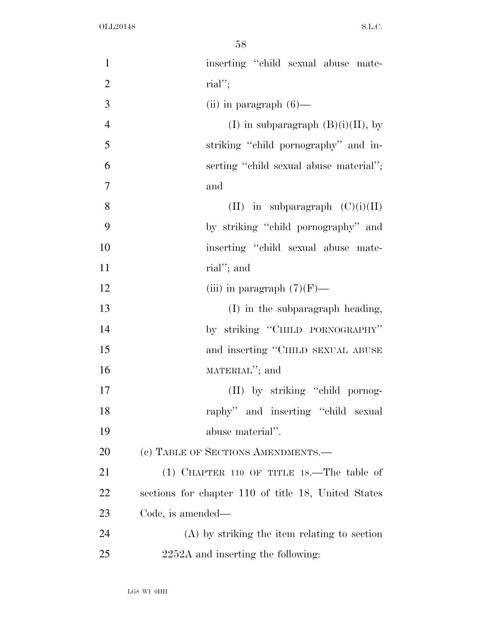| $\mathbf{1}$   | inserting "child sexual abuse mate-                 |
|----------------|-----------------------------------------------------|
| $\overline{2}$ | $\text{rial}''$ ;                                   |
| 3              | (ii) in paragraph $(6)$ —                           |
| $\overline{4}$ | (I) in subparagraph $(B)(i)(II)$ , by               |
| 5              | striking "child pornography" and in-                |
| 6              | serting "child sexual abuse material";              |
| $\overline{7}$ | and                                                 |
| 8              | (II) in subparagraph $(C)(i)(II)$                   |
| 9              | by striking "child pornography" and                 |
| 10             | inserting "child sexual abuse mate-                 |
| 11             | rial"; and                                          |
| 12             | (iii) in paragraph $(7)(F)$ —                       |
| 13             | (I) in the subparagraph heading,                    |
| 14             | by striking "CHILD PORNOGRAPHY"                     |
| 15             | and inserting "CHILD SEXUAL ABUSE                   |
| 16             | MATERIAL"; and                                      |
| 17             | (II) by striking "child pornog-                     |
| 18             | raphy" and inserting "child sexual                  |
| 19             | abuse material".                                    |
| 20             | (c) TABLE OF SECTIONS AMENDMENTS.—                  |
| 21             | $(1)$ CHAPTER 110 OF TITLE 18.—The table of         |
| 22             | sections for chapter 110 of title 18, United States |
| 23             | Code, is amended—                                   |
| 24             | $(A)$ by striking the item relating to section      |
| 25             | 2252A and inserting the following:                  |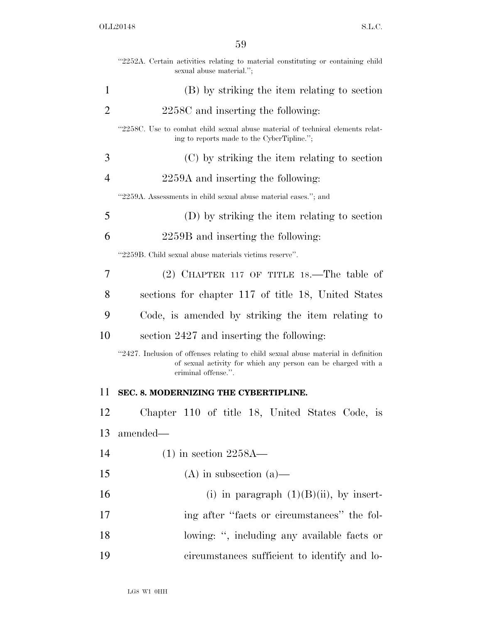|                | "2252A. Certain activities relating to material constituting or containing child<br>sexual abuse material.";                                                               |
|----------------|----------------------------------------------------------------------------------------------------------------------------------------------------------------------------|
| 1              | (B) by striking the item relating to section                                                                                                                               |
| 2              | 2258C and inserting the following:                                                                                                                                         |
|                | "2258C. Use to combat child sexual abuse material of technical elements relat-<br>ing to reports made to the CyberTipline.";                                               |
| 3              | (C) by striking the item relating to section                                                                                                                               |
| $\overline{4}$ | 2259A and inserting the following:                                                                                                                                         |
|                | "2259A. Assessments in child sexual abuse material cases."; and                                                                                                            |
| 5              | (D) by striking the item relating to section                                                                                                                               |
| 6              | 2259B and inserting the following:                                                                                                                                         |
|                | "2259B. Child sexual abuse materials victims reserve".                                                                                                                     |
| 7              | $(2)$ CHAPTER 117 OF TITLE 18.—The table of                                                                                                                                |
| 8              | sections for chapter 117 of title 18, United States                                                                                                                        |
| 9              | Code, is amended by striking the item relating to                                                                                                                          |
| 10             | section 2427 and inserting the following:                                                                                                                                  |
|                | "2427. Inclusion of offenses relating to child sexual abuse material in definition<br>of sexual activity for which any person can be charged with a<br>criminal offense.". |
| 11             | SEC. 8. MODERNIZING THE CYBERTIPLINE.                                                                                                                                      |
| 12             | Chapter 110 of title 18, United States Code, is                                                                                                                            |
| 13             | amended—                                                                                                                                                                   |
| 14             | $(1)$ in section 2258A—                                                                                                                                                    |
| 15             | $(A)$ in subsection $(a)$ —                                                                                                                                                |
| 16             | (i) in paragraph $(1)(B)(ii)$ , by insert-                                                                                                                                 |
| 17             | ing after "facts or circumstances" the fol-                                                                                                                                |
| 18             | lowing: ", including any available facts or                                                                                                                                |
| 19             | circumstances sufficient to identify and lo-                                                                                                                               |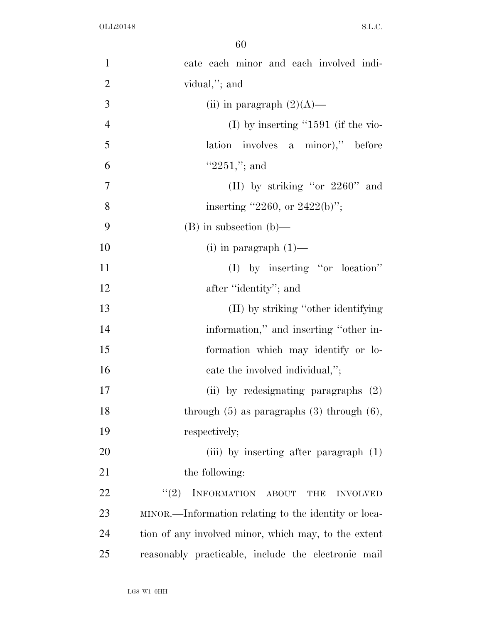| $\mathbf{1}$   | cate each minor and each involved indi-              |
|----------------|------------------------------------------------------|
| $\overline{2}$ | vidual,"; and                                        |
| 3              | (ii) in paragraph $(2)(A)$ —                         |
| $\overline{4}$ | (I) by inserting " $1591$ (if the vio-               |
| 5              | lation involves a minor)," before                    |
| 6              | " $2251$ ,"; and                                     |
| $\tau$         | (II) by striking "or $2260$ " and                    |
| 8              | inserting "2260, or 2422(b)";                        |
| 9              | $(B)$ in subsection $(b)$ —                          |
| 10             | $(i)$ in paragraph $(1)$ —                           |
| 11             | $(I)$ by inserting "or location"                     |
| 12             | after "identity"; and                                |
| 13             | (II) by striking "other identifying                  |
| 14             | information," and inserting "other in-               |
| 15             | formation which may identify or lo-                  |
| 16             | cate the involved individual,";                      |
| 17             | (ii) by redesignating paragraphs (2)                 |
| 18             | through $(5)$ as paragraphs $(3)$ through $(6)$ ,    |
| 19             | respectively;                                        |
| 20             | (iii) by inserting after paragraph $(1)$             |
| 21             | the following:                                       |
| 22             | INFORMATION ABOUT<br>(2)<br><b>INVOLVED</b><br>THE   |
| 23             | MINOR.—Information relating to the identity or loca- |
| 24             | tion of any involved minor, which may, to the extent |
| 25             | reasonably practicable, include the electronic mail  |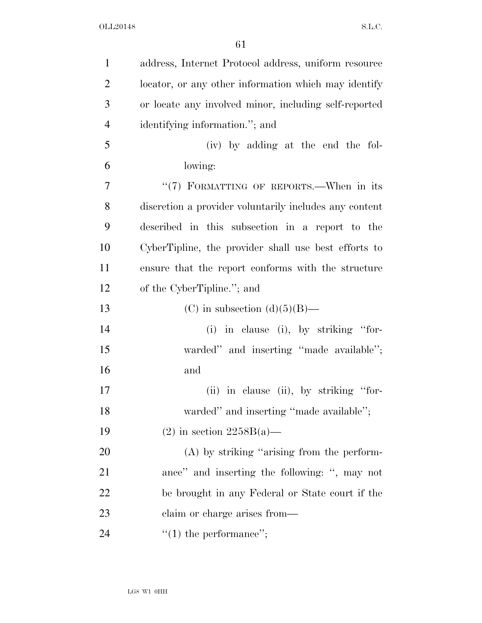| $\mathbf{1}$   | address, Internet Protocol address, uniform resource   |
|----------------|--------------------------------------------------------|
| $\overline{2}$ | locator, or any other information which may identify   |
| 3              | or locate any involved minor, including self-reported  |
| $\overline{4}$ | identifying information."; and                         |
| 5              | (iv) by adding at the end the fol-                     |
| 6              | lowing:                                                |
| 7              | "(7) FORMATTING OF REPORTS.—When in its                |
| 8              | discretion a provider voluntarily includes any content |
| 9              | described in this subsection in a report to the        |
| 10             | CyberTipline, the provider shall use best efforts to   |
| 11             | ensure that the report conforms with the structure     |
| 12             | of the CyberTipline."; and                             |
| 13             | (C) in subsection $(d)(5)(B)$ —                        |
| 14             | (i) in clause (i), by striking "for-                   |
| 15             | warded" and inserting "made available";                |
| 16             | and                                                    |
| 17             | (ii) in clause (ii), by striking "for-                 |
| 18             | warded" and inserting "made available";                |
| 19             | $(2)$ in section $2258B(a)$ —                          |
| 20             | $(A)$ by striking "arising from the perform-           |
| 21             | ance" and inserting the following: ", may not          |
| 22             | be brought in any Federal or State court if the        |
| 23             | claim or charge arises from—                           |
| 24             | $f'(1)$ the performance";                              |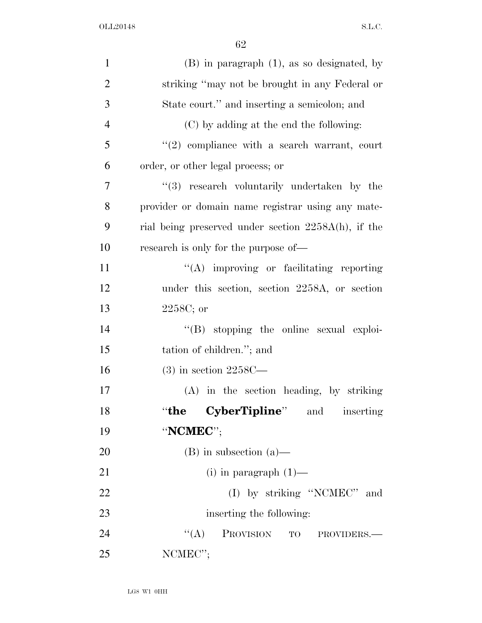| $\mathbf{1}$   | $(B)$ in paragraph $(1)$ , as so designated, by     |
|----------------|-----------------------------------------------------|
| $\overline{2}$ | striking "may not be brought in any Federal or      |
| 3              | State court." and inserting a semicolon; and        |
| $\overline{4}$ | (C) by adding at the end the following:             |
| $\mathfrak{S}$ | $(2)$ compliance with a search warrant, court       |
| 6              | order, or other legal process; or                   |
| 7              | "(3) research voluntarily undertaken by the         |
| 8              | provider or domain name registrar using any mate-   |
| 9              | rial being preserved under section 2258A(h), if the |
| 10             | research is only for the purpose of—                |
| 11             | $\lq\lq$ improving or facilitating reporting        |
| 12             | under this section, section 2258A, or section       |
| 13             | $2258C$ ; or                                        |
| 14             | $\lq\lq (B)$ stopping the online sexual exploi-     |
| 15             | tation of children."; and                           |
| 16             | $(3)$ in section 2258C—                             |
| 17             | (A) in the section heading, by striking             |
| 18             | <b>CyberTipline</b> " and<br>$``$ the<br>inserting  |
| 19             | "NCMEC";                                            |
| 20             | $(B)$ in subsection $(a)$ —                         |
| 21             | (i) in paragraph $(1)$ —                            |
| 22             | (I) by striking "NCMEC" and                         |
| 23             | inserting the following:                            |
| 24             | PROVISION TO PROVIDERS.<br>``(A)                    |
| 25             | $\text{NCMEC'}$                                     |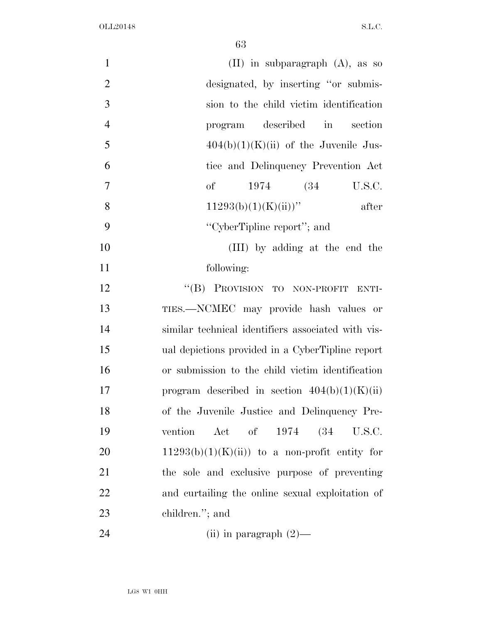| $\mathbf{1}$   | $(II)$ in subparagraph $(A)$ , as so               |
|----------------|----------------------------------------------------|
| $\mathfrak{2}$ | designated, by inserting "or submis-               |
| 3              | sion to the child victim identification            |
| $\overline{4}$ | described in<br>section<br>program                 |
| 5              | $404(b)(1)(K)(ii)$ of the Juvenile Jus-            |
| 6              | tice and Delinquency Prevention Act                |
| 7              | of<br>1974 (34)<br>U.S.C.                          |
| 8              | $11293(b)(1)(K(ii))$ "<br>after                    |
| 9              | "CyberTipline report"; and                         |
| 10             | (III) by adding at the end the                     |
| 11             | following:                                         |
| 12             | "(B) PROVISION TO NON-PROFIT ENTI-                 |
| 13             | TIES.—NCMEC may provide hash values or             |
| 14             | similar technical identifiers associated with vis- |
| 15             | ual depictions provided in a CyberTipline report   |
| 16             | or submission to the child victim identification   |
| 17             | program described in section $404(b)(1)(K)(ii)$    |
| 18             | of the Juvenile Justice and Delinquency Pre-       |
| 19             | Act of 1974 (34 U.S.C.<br>vention                  |
| 20             | $11293(b)(1)(K)(ii)$ to a non-profit entity for    |
| 21             | the sole and exclusive purpose of preventing       |
| 22             | and curtailing the online sexual exploitation of   |
| 23             | children."; and                                    |
| 24             | (ii) in paragraph $(2)$ —                          |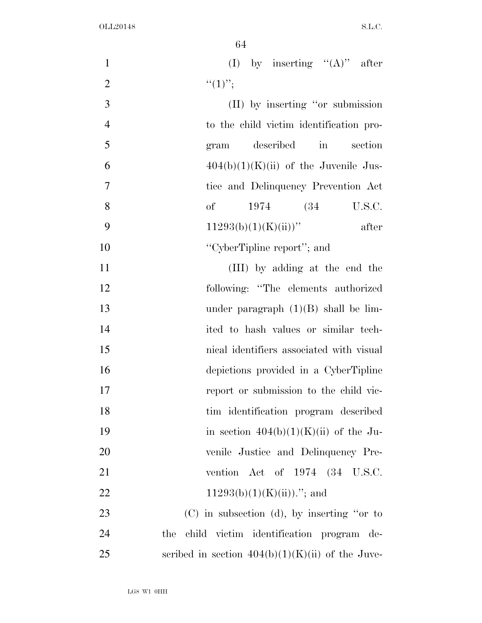| $\mathbf{1}$   | (I) by inserting $"({\bf A})"$ after               |
|----------------|----------------------------------------------------|
| $\overline{2}$ | $``(1)''$ ;                                        |
| 3              | (II) by inserting "or submission                   |
| $\overline{4}$ | to the child victim identification pro-            |
| 5              | described<br>section<br>$\sin$<br>gram             |
| 6              | $404(b)(1)(K)(ii)$ of the Juvenile Jus-            |
| $\tau$         | tice and Delinquency Prevention Act                |
| 8              | of<br>1974 (34)<br>U.S.C.                          |
| 9              | $11293(b)(1)(K(ii))$ "<br>after                    |
| 10             | "CyberTipline report"; and                         |
| 11             | (III) by adding at the end the                     |
| 12             | following: "The elements authorized                |
| 13             | under paragraph $(1)(B)$ shall be lim-             |
| 14             | ited to hash values or similar tech-               |
| 15             | nical identifiers associated with visual           |
| 16             | depictions provided in a CyberTipline              |
| 17             | report or submission to the child vic-             |
| 18             | tim identification program described               |
| 19             | in section $404(b)(1)(K)(ii)$ of the Ju-           |
| 20             | venile Justice and Delinquency Pre-                |
| 21             | vention Act of 1974 (34 U.S.C.                     |
| 22             | $11293(b)(1)(K(ii))$ ."; and                       |
| 23             | $(C)$ in subsection (d), by inserting "or to       |
| 24             | child victim identification program de-<br>the     |
| 25             | scribed in section $404(b)(1)(K)(ii)$ of the Juve- |